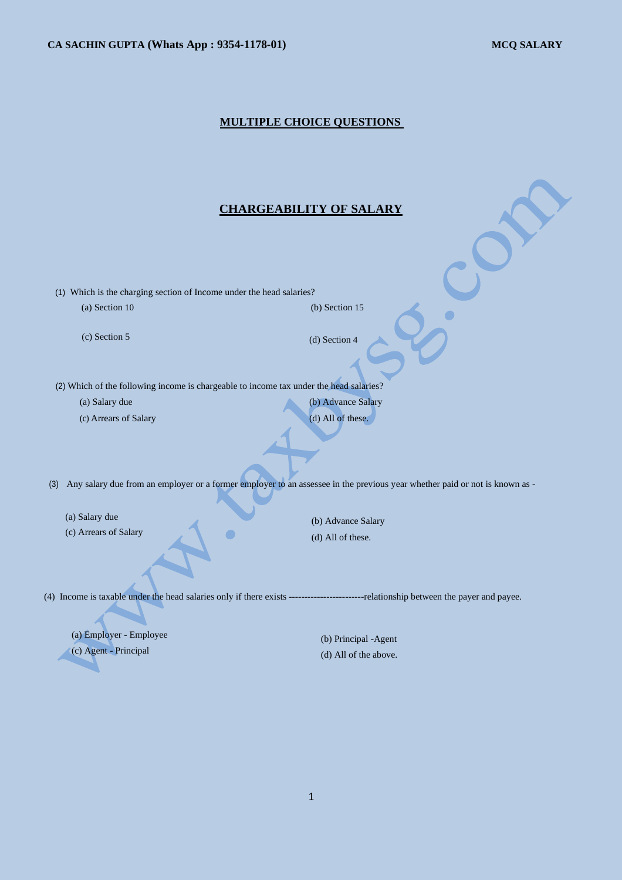### **MULTIPLE CHOICE QUESTIONS**

## **CHARGEABILITY OF SALARY**

(1) Which is the charging section of Income under the head salaries? (a) Section 10 (b) Section 15

(c) Section 5 (d) Section 4

(2) Which of the following income is chargeable to income tax under the head salaries?

(a) Salary due (b) Advance Salary (c) Arrears of Salary (d) All of these.

 $\blacksquare$ 

(3) Any salary due from an employer or a former employer to an assessee in the previous year whether paid or not is known as -

(a) Salary due

(c) Arrears of Salary

(b) Advance Salary (d) All of these.

(4) Income is taxable under the head salaries only if there exists ------------------------relationship between the payer and payee.

(a) Employer - Employee (c) Agent - Principal

(b) Principal -Agent (d) All of the above.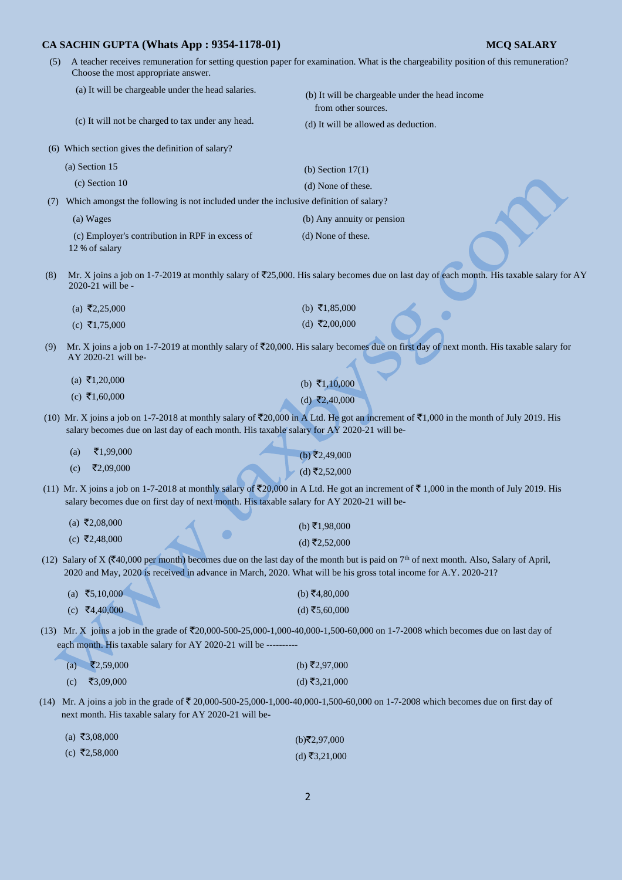- **CA SACHIN GUPTA (Whats App : 9354-1178-01) MCQ SALARY** (5) A teacher receives remuneration for setting question paper for examination. What is the chargeability position of this remuneration? Choose the most appropriate answer. (a) It will be chargeable under the head salaries. (b) It will be chargeable under the head income from other sources. (c) It will not be charged to tax under any head. (d) It will be allowed as deduction. (6) Which section gives the definition of salary? (a) Section 15 (b) Section 17(1) (c) Section 10 (d) None of these. (7) Which amongst the following is not included under the inclusive definition of salary? (a) Wages (b) Any annuity or pension (c) Employer's contribution in RPF in excess of (d) None of these. 12 % of salary (8) Mr. X joins a job on 1-7-2019 at monthly salary of  $\overline{2}25,000$ . His salary becomes due on last day of each month. His taxable salary for AY 2020-21 will be -  $(b) \overline{*}1,85,000$  $(a)$  ₹2,25,000  $(d)$  ₹2,00,000  $(c) \space \overline{\mathfrak{3}}1,75,000$ (9) Mr. X joins a job on 1-7-2019 at monthly salary of  $\overline{2}20,000$ . His salary becomes due on first day of next month. His taxable salary for AY 2020-21 will be-  $(a) \space \overline{\mathfrak{3}}1,20,000$  $(b)$  ₹1,10,000  $(c) \space \overline{\mathbf{5}}1,60,000$  $(d)$  ₹2,40,000 (10) Mr. X joins a job on 1-7-2018 at monthly salary of  $\overline{5}20,000$  in A Ltd. He got an increment of  $\overline{5}1,000$  in the month of July 2019. His salary becomes due on last day of each month. His taxable salary for AY 2020-21 will be-  $(a)$  ₹1,99,000  $(b)$ ₹2,49,000  $(c)$  ₹2,09,000  $(d)$  ₹2,52,000 (11) Mr. X joins a job on 1-7-2018 at monthly salary of  $\overline{20,000}$  in A Ltd. He got an increment of  $\overline{5,000}$  in the month of July 2019. His salary becomes due on first day of next month. His taxable salary for AY 2020-21 will be-  $(a)$  ₹2,08,000  $(b)$ ₹1,98,000  $\bullet$  $(c)$  ₹2,48,000  $(d)$ ₹2,52,000 (12) Salary of X ( $\bar{\xi}$ 40,000 per month) becomes due on the last day of the month but is paid on 7<sup>th</sup> of next month. Also, Salary of April, 2020 and May, 2020 is received in advance in March, 2020. What will be his gross total income for A.Y. 2020-21?  $(a) \; ₹5,10,000$  $(b)$  ₹4,80,000  $(c)$  ₹4,40,000  $(d)$  ₹5,60,000 (13) Mr. X joins a job in the grade of  $\overline{2}20,000-500-25,000-1,000-40,000-1,500-60,000$  on 1-7-2008 which becomes due on last day of each month. His taxable salary for AY 2020-21 will be - $(a)$   $\bar{z}$ 2,59,000  $(b)$ ₹2,97,000
	- $(c)$  ₹3,09,000  $(d)$ ₹3,21,000
- (14) Mr. A joins a job in the grade of  $\bar{\tau}$  20,000-500-25,000-1,000-40,000-1,500-60,000 on 1-7-2008 which becomes due on first day of next month. His taxable salary for AY 2020-21 will be-

| (a) ₹3,08,000 | (b)₹2,97,000  |
|---------------|---------------|
| (c) ₹2,58,000 | (d) ₹3,21,000 |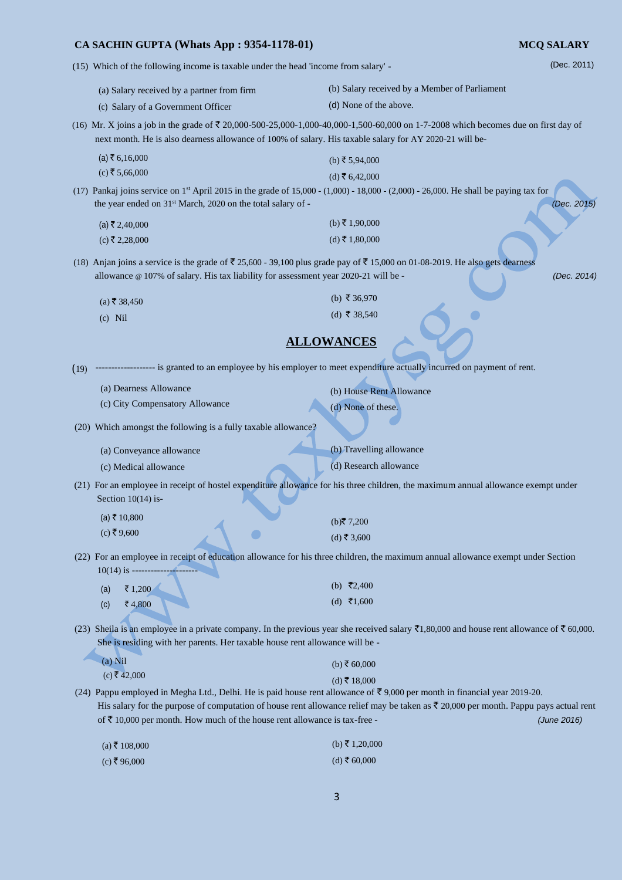(15) Which of the following income is taxable under the head 'income from salary' -

(a) Salary received by a partner from firm (c) Salary of a Government Officer (b) Salary received by a Member of Parliament (d) None of the above. (16) Mr. X joins a job in the grade of  $\overline{5}$  20,000-500-25,000-1,000-40,000-1,500-60,000 on 1-7-2008 which becomes due on first day of next month. He is also dearness allowance of 100% of salary. His taxable salary for AY 2020-21 will be-  $(a) \bar{z} 6,16,000$  $(c)$  ₹ 5,66,000  $(b)$  ₹ 5,94,000  $(d)$  ₹ 6,42,000 (17) Pankaj joins service on 1 st April 2015 in the grade of 15,000 - (1,000) - 18,000 - (2,000) - 26,000. He shall be paying tax for the year ended on 31<sup>st</sup> March, 2020 on the total salary of - *(Dec. 2015) (Dec. 2015)*  $(a)$  ₹ 2,40,000  $(c)$  ₹ 2,28,000  $(b)$  ₹ 1,90,000  $(d)$  ₹ 1,80,000 (18) Anjan joins a service is the grade of  $\bar{\tau}$  25,600 - 39,100 plus grade pay of  $\bar{\tau}$  15,000 on 01-08-2019. He also gets dearness allowance @ 107% of salary. His tax liability for assessment year 2020-21 will be - *(Dec. 2014)*   $(a)$ ₹ 38,450 (c) Nil (b) ₹ 36,970 (d) ₹ 38,540 **ALLOWANCES** (19) ------------------- is granted to an employee by his employer to meet expenditure actually incurred on payment of rent. (a) Dearness Allowance (c) City Compensatory Allowance (b) House Rent Allowance (d) None of these. (20) Which amongst the following is a fully taxable allowance? (a) Conveyance allowance (c) Medical allowance (b) Travelling allowance (d) Research allowance (21) For an employee in receipt of hostel expenditure allowance for his three children, the maximum annual allowance exempt under Section 10(14) is- $(a)$ ₹ 10,800  $(c)$ ₹9,600  $(b)$ ₹7,200  $(d)$ ₹ 3,600 (22) For an employee in receipt of education allowance for his three children, the maximum annual allowance exempt under Section  $10(14)$  is - $(a)$  ₹ 1,200  $(c)$  ₹ 4,800 (b)  $\overline{5}2,400$  $(d)$  ₹1,600 (23) Sheila is an employee in a private company. In the previous year she received salary  $\bar{\tau}$ 1,80,000 and house rent allowance of  $\bar{\tau}$  60,000. She is residing with her parents. Her taxable house rent allowance will be - (a) Nil  $(c)$  ₹ 42,000  $(b)$  ₹ 60,000  $(d)$  ₹ 18,000 (24) Pappu employed in Megha Ltd., Delhi. He is paid house rent allowance of  $\bar{\tau}$  9,000 per month in financial year 2019-20. His salary for the purpose of computation of house rent allowance relief may be taken as  $\bar{\mathfrak{c}}$  20,000 per month. Pappu pays actual rent of  $\bar{\tau}$  10,000 per month. How much of the house rent allowance is tax-free -  $(June\ 2016)$  $(a) \xi 108,000$  $(b)$  ₹ 1,20,000

(Dec. 2011)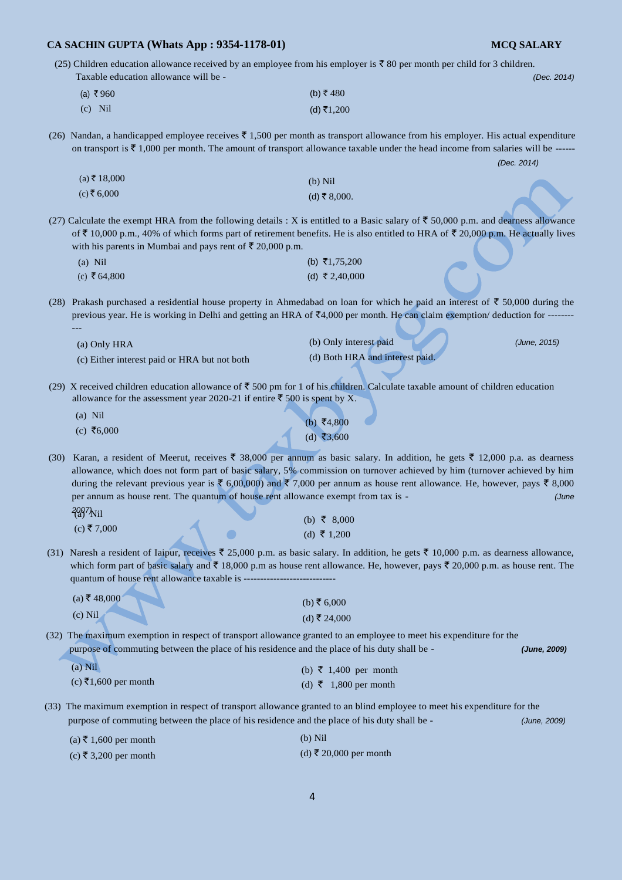---

(25) Children education allowance received by an employee from his employer is  $\bar{\tau}$  80 per month per child for 3 children. Taxable education allowance will be - *(Dec. 2014)* 

| (a) ₹960  | (b) ₹480   |
|-----------|------------|
| $(c)$ Nil | (d) ₹1,200 |

(26) Nandan, a handicapped employee receives  $\bar{z}$  1,500 per month as transport allowance from his employer. His actual expenditure on transport is  $\bar{\tau}$  1,000 per month. The amount of transport allowance taxable under the head income from salaries will be ------

 *(Dec. 2014)* 

| $(a)$ ₹ 18,000 | (b) Nil      |
|----------------|--------------|
| (c) ₹ 6,000    | (d) ₹ 8,000. |

(27) Calculate the exempt HRA from the following details : X is entitled to a Basic salary of  $\bar{\tau}$  50,000 p.m. and dearness allowance of  $\bar{\tau}$  10,000 p.m., 40% of which forms part of retirement benefits. He is also entitled to HRA of  $\bar{\tau}$  20,000 p.m. He actually lives with his parents in Mumbai and pays rent of  $\overline{\mathfrak{F}}$  20,000 p.m.

| $(a)$ Nil    | (b) $\bar{\tau}1,75,200$ |
|--------------|--------------------------|
| (c) ₹ 64,800 | (d) ₹ 2,40,000           |

(28) Prakash purchased a residential house property in Ahmedabad on loan for which he paid an interest of  $\bar{\tau}$  50,000 during the previous year. He is working in Delhi and getting an HRA of  $\bar{c}4,000$  per month. He can claim exemption/ deduction for ----

| (a) Only HRA                                 | (b) Only interest paid          | (June, 2015) |
|----------------------------------------------|---------------------------------|--------------|
| (c) Either interest paid or HRA but not both | (d) Both HRA and interest paid. |              |

(29) X received children education allowance of  $\bar{c}$  500 pm for 1 of his children. Calculate taxable amount of children education allowance for the assessment year 2020-21 if entire  $\bar{\tau}$  500 is spent by X.

| $(a)$ Nil  | (b) ₹4,800 |
|------------|------------|
| (c) ₹6,000 | (d) ₹3,600 |

(30) Karan, a resident of Meerut, receives  $\bar{\xi}$  38,000 per annum as basic salary. In addition, he gets  $\bar{\xi}$  12,000 p.a. as dearness allowance, which does not form part of basic salary, 5% commission on turnover achieved by him (turnover achieved by him during the relevant previous year is  $\bar{\xi}$  6,00,000) and  $\bar{\xi}$  7,000 per annum as house rent allowance. He, however, pays  $\bar{\xi}$  8,000 per annum as house rent. The quantum of house rent allowance exempt from tax is - *(June*  2007<sup>k</sup>

| $(a)$ TVII |  | (b) ₹ 8,000 |
|------------|--|-------------|
| (c) ₹7,000 |  | (d) ₹ 1,200 |

(31) Naresh a resident of Iaipur, receives  $\bar{\xi}$  25,000 p.m. as basic salary. In addition, he gets  $\bar{\xi}$  10,000 p.m. as dearness allowance, which form part of basic salary and  $\bar{\tau}$  18,000 p.m as house rent allowance. He, however, pays  $\bar{\tau}$  20,000 p.m. as house rent. The quantum of house rent allowance taxable is -----

| $(a)$ ₹ 48,000 | (b) ₹ 6,000  |
|----------------|--------------|
| $(c)$ Nil      | (d) ₹ 24,000 |
| TTT1<br>٠      |              |

(32) The maximum exemption in respect of transport allowance granted to an employee to meet his expenditure for the purpose of commuting between the place of his residence and the place of his duty shall be - *(June, 2009)*

| $(a)$ Nil            | (b) $\bar{\xi}$ 1,400 per month |
|----------------------|---------------------------------|
| (c) ₹1,600 per month | (d) ₹ 1,800 per month           |

(33) The maximum exemption in respect of transport allowance granted to an blind employee to meet his expenditure for the purpose of commuting between the place of his residence and the place of his duty shall be - *(June, 2009)* 

| (a) ₹ 1,600 per month | $(b)$ Nil              |
|-----------------------|------------------------|
| (c) ₹ 3,200 per month | (d) ₹ 20,000 per month |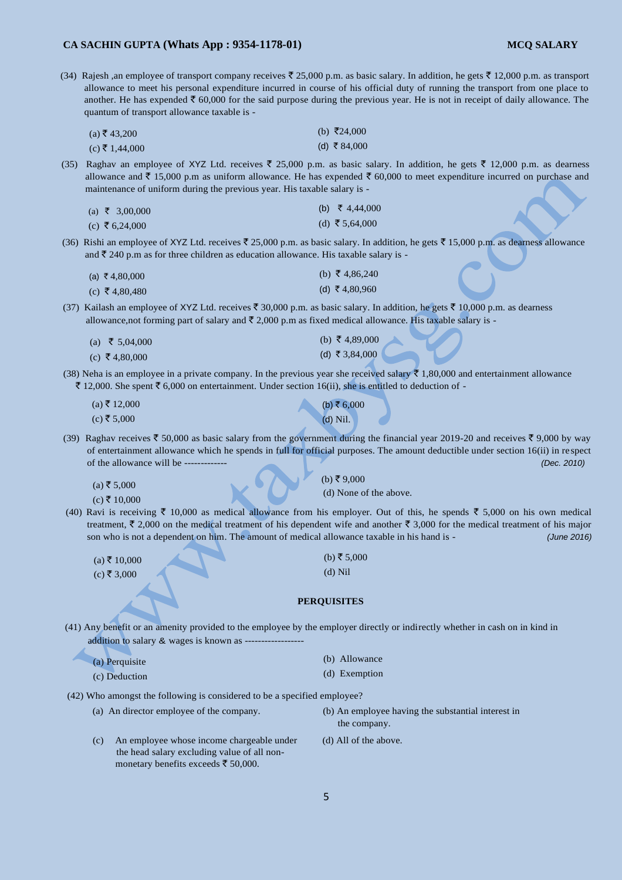(34) Rajesh ,an employee of transport company receives  $\bar{\ell}$  25,000 p.m. as basic salary. In addition, he gets  $\bar{\ell}$  12,000 p.m. as transport allowance to meet his personal expenditure incurred in course of his official duty of running the transport from one place to another. He has expended  $\bar{\tau}$  60,000 for the said purpose during the previous year. He is not in receipt of daily allowance. The quantum of transport allowance taxable is -

| $(a)$ ₹ 43,200   | (b) ₹24,000  |
|------------------|--------------|
| $(c)$ ₹ 1,44,000 | (d) ₹ 84,000 |

(35) Raghav an employee of XYZ Ltd. receives  $\bar{\tau}$  25,000 p.m. as basic salary. In addition, he gets  $\bar{\tau}$  12,000 p.m. as dearness allowance and  $\bar{\tau}$  15,000 p.m as uniform allowance. He has expended  $\bar{\tau}$  60,000 to meet expenditure incurred on purchase and maintenance of uniform during the previous year. His taxable salary is -

| (a) ₹ 3,00,000 | (b) ₹ 4,44,000 |
|----------------|----------------|
| (c) ₹ 6,24,000 | (d) ₹5,64,000  |

(36) Rishi an employee of XYZ Ltd. receives  $\bar{\xi}$  25,000 p.m. as basic salary. In addition, he gets  $\bar{\xi}$  15,000 p.m. as dearness allowance and  $\bar{\tau}$  240 p.m as for three children as education allowance. His taxable salary is -

| (a) ₹4,80,000 | (b) $\bar{\tau}$ 4,86,240 |
|---------------|---------------------------|
| (c) ₹4,80,480 | (d) ₹4,80,960             |

(37) Kailash an employee of XYZ Ltd. receives  $\bar{\xi}$  30,000 p.m. as basic salary. In addition, he gets  $\bar{\xi}$  10,000 p.m. as dearness allowance, not forming part of salary and  $\bar{\tau}$  2,000 p.m as fixed medical allowance. His taxable salary is -

| (a) ₹ 5,04,000 | (b) $\bar{\tau}$ 4,89,000 |
|----------------|---------------------------|
| (c) ₹4,80,000  | (d) ₹3,84,000             |

(38) Neha is an employee in a private company. In the previous year she received salary  $\bar{\tau}$  1,80,000 and entertainment allowance ₹ 12,000. She spent ₹ 6,000 on entertainment. Under section 16(ii), she is entitled to deduction of -

| $(a)$ ₹ 12,000 | (b) ₹ 6,000 |
|----------------|-------------|
| (c) ₹ 5,000    | $(d)$ Nil.  |

(39) Raghav receives  $\bar{\xi}$  50,000 as basic salary from the government during the financial year 2019-20 and receives  $\bar{\xi}$  9,000 by way of entertainment allowance which he spends in full for official purposes. The amount deductible under section 16(ii) in respect of the allowance will be ------------- *(Dec. 2010)* 

 $(a) \xi 5,000$ 

 $(c)$ ₹ 10,000

 $(b)$ ₹9,000

(d) None of the above.

(40) Ravi is receiving  $\bar{\tau}$  10,000 as medical allowance from his employer. Out of this, he spends  $\bar{\tau}$  5,000 on his own medical treatment,  $\bar{\xi}$  2,000 on the medical treatment of his dependent wife and another  $\bar{\xi}$  3,000 for the medical treatment of his major son who is not a dependent on him. The amount of medical allowance taxable in his hand is - *(June 2016)* 

| $(a)$ ₹ 10,000                                  |  |
|-------------------------------------------------|--|
| $($ $\rightarrow$ $\mp$ $\land$ $\land$ $\land$ |  |

 $(c) \le 3,000$ 

(b) ₹ 5,000 (d) Nil

#### **PERQUISITES**

(41) Any benefit or an amenity provided to the employee by the employer directly or indirectly whether in cash on in kind in addition to salary & wages is known as ---

| (a) Perquisite | (b) Allowance |
|----------------|---------------|
| (c) Deduction  | (d) Exemption |

(42) Who amongst the following is considered to be a specified employee?

- 
- (a) An director employee of the company. (b) An employee having the substantial interest in the company.
- (c) An employee whose income chargeable under (d) All of the above. the head salary excluding value of all nonmonetary benefits exceeds  $\bar{\tau}$  50,000.
	-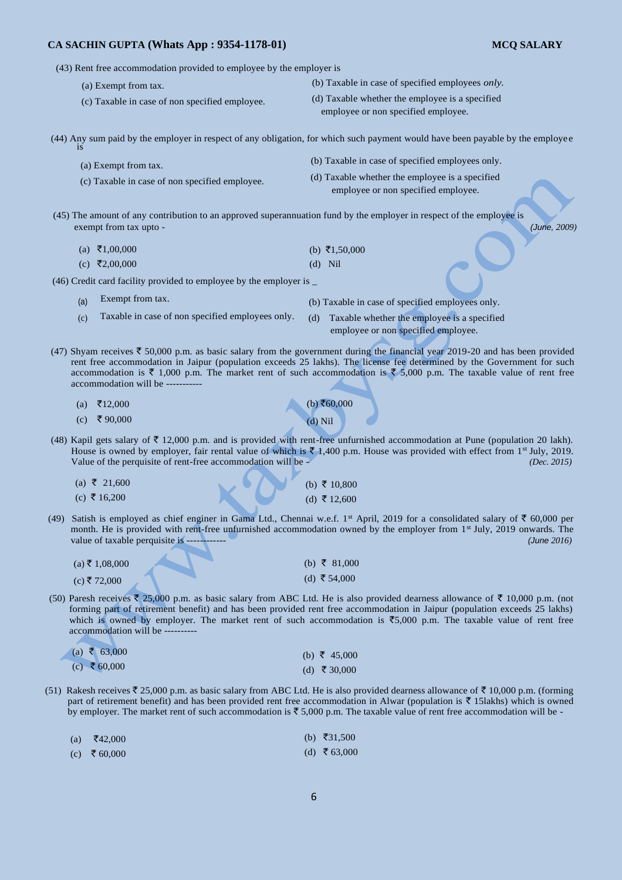(43) Rent free accommodation provided to employee by the employer is

- (a) Exempt from tax.
- (c) Taxable in case of non specified employee.
- (b) Taxable in case of specified employees *only.*
- (d) Taxable whether the employee is a specified employee or non specified employee.

(44) Any sum paid by the employer in respect of any obligation, for which such payment would have been payable by the employe e is

- (a) Exempt from tax.
- (c) Taxable in case of non specified employee.
- (b) Taxable in case of specified employees only.
- (d) Taxable whether the employee is a specified employee or non specified employee.
- (45) The amount of any contribution to an approved superannuation fund by the employer in respect of the employee is exempt from tax upto - *(June, 2009)*

 $(a) \quad \overline{5}1,00,000$  $(c)$  ₹2,00,000  $(b) \space \bar{f}1,50,000$ (d) Nil

(46) Credit card facility provided to employee by the employer is \_

- $(a)$ Exempt from tax.
- $(c)$ Taxable in case of non specified employees only.

(b) Taxable in case of specified employees only.

- (d) Taxable whether the employee is a specified employee or non specified employee.
- (47) Shyam receives  $\bar{\tau}$  50,000 p.m. as basic salary from the government during the financial year 2019-20 and has been provided rent free accommodation in Jaipur (population exceeds 25 lakhs). The license fee determined by the Government for such accommodation is  $\bar{\tau}$  1,000 p.m. The market rent of such accommodation is  $\bar{\tau}$  5,000 p.m. The taxable value of rent free accommodation will be -

 $(b) ₹60,000$ (d) Nil

(b) ₹ 10,800 (d) ₹ 12,600

- $(a)$  ₹12,000
- $(c)$  ₹ 90,000
- (48) Kapil gets salary of  $\bar{\tau}$  12,000 p.m. and is provided with rent-free unfurnished accommodation at Pune (population 20 lakh). House is owned by employer, fair rental value of which is  $\bar{\tau}$  1,400 p.m. House was provided with effect from 1<sup>st</sup> July, 2019. Value of the perquisite of rent-free accommodation will be - *(Dec. 2015)* 
	- $(a)$  ₹ 21,600
	- $(c)$  ₹ 16,200
- (49) Satish is employed as chief enginer in Gama Ltd., Chennai w.e.f. 1<sup>st</sup> April, 2019 for a consolidated salary of  $\bar{z}$  60,000 per month. He is provided with rent-free unfurnished accommodation owned by the employer from 1<sup>st</sup> July, 2019 onwards. The value of taxable perquisite is ------------ *(June 2016)*

| $(a)$ ₹ 1,08,000 |  | (b) ₹ 81,000 |
|------------------|--|--------------|
| (c) ₹ 72,000     |  | (d) ₹ 54,000 |

(50) Paresh receives  $\overline{\xi}$  25,000 p.m. as basic salary from ABC Ltd. He is also provided dearness allowance of  $\overline{\xi}$  10,000 p.m. (not forming part of retirement benefit) and has been provided rent free accommodation in Jaipur (population exceeds 25 lakhs) which is owned by employer. The market rent of such accommodation is  $\overline{5}5,000$  p.m. The taxable value of rent free accommodation will be -

| (a) ₹ 63,000 | (b) ₹ 45,000 |
|--------------|--------------|
| (c) ₹ 60,000 | (d) ₹ 30,000 |

- (51) Rakesh receives  $\bar{\xi}$  25,000 p.m. as basic salary from ABC Ltd. He is also provided dearness allowance of  $\bar{\xi}$  10,000 p.m. (forming part of retirement benefit) and has been provided rent free accommodation in Alwar (population is  $\bar{\tau}$  15lakhs) which is owned by employer. The market rent of such accommodation is  $\bar{\tau}$  5,000 p.m. The taxable value of rent free accommodation will be -
	- $(a)$  ₹42,000  $(c)$  ₹ 60,000 (b) ₹31,500  $(d)$  ₹ 63,000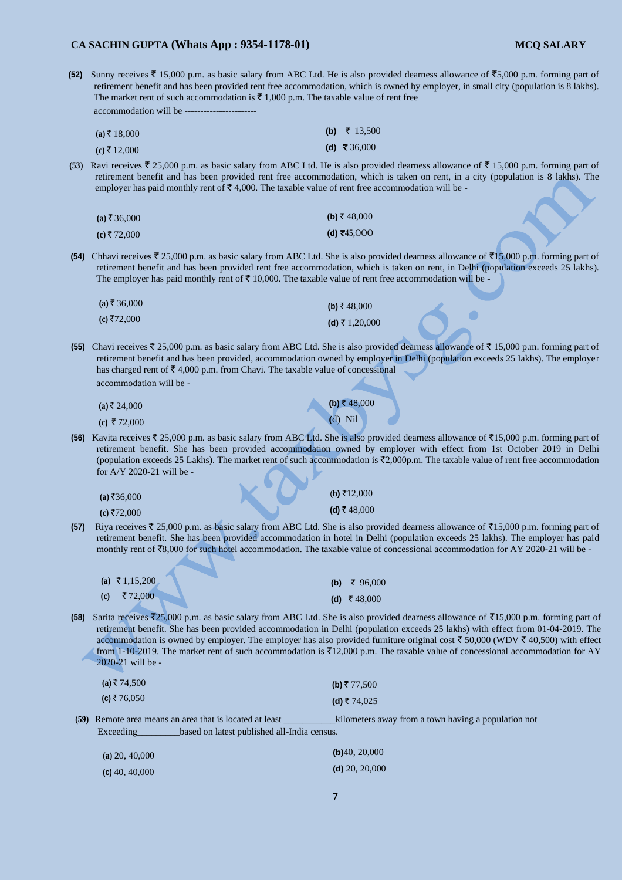**(52)** Sunny receives  $\bar{\xi}$  15,000 p.m. as basic salary from ABC Ltd. He is also provided dearness allowance of  $\bar{\xi}$ 5,000 p.m. forming part of retirement benefit and has been provided rent free accommodation, which is owned by employer, in small city (population is 8 lakhs). The market rent of such accommodation is  $\bar{\tau}$  1,000 p.m. The taxable value of rent free accommodation will be --

| $(a)$ ₹ 18,000 | (b) $\bar{\tau}$ 13,500 |
|----------------|-------------------------|
| $(c)$ ₹ 12,000 | (d) ₹ 36,000            |

**(53)** Ravi receives  $\bar{\tau}$  25,000 p.m. as basic salary from ABC Ltd. He is also provided dearness allowance of  $\bar{\tau}$  15,000 p.m. forming part of retirement benefit and has been provided rent free accommodation, which is taken on rent, in a city (population is 8 lakhs). The employer has paid monthly rent of  $\bar{\mathfrak{e}}$  4,000. The taxable value of rent free accommodation will be -

| $(a)$ ₹ 36,000 | (b) ₹ 48,000 |
|----------------|--------------|
| (c) ₹ 72,000   | (d) ₹45,000  |

**(54)** Chhavi receives  $\bar{\tau}$  25,000 p.m. as basic salary from ABC Ltd. She is also provided dearness allowance of  $\bar{\tau}$ 15,000 p.m. forming part of retirement benefit and has been provided rent free accommodation, which is taken on rent, in Delhi (population exceeds 25 lakhs). The employer has paid monthly rent of  $\bar{\tau}$  10,000. The taxable value of rent free accommodation will be -

| (a) ₹ 36,000 | (b) ₹48,000    |
|--------------|----------------|
| (c) ₹72,000  | (d) ₹ 1,20,000 |

**(55)** Chavi receives  $\bar{\tau}$  25,000 p.m. as basic salary from ABC Ltd. She is also provided dearness allowance of  $\bar{\tau}$  15,000 p.m. forming part of retirement benefit and has been provided, accommodation owned by employer in Delhi (population exceeds 25 Iakhs). The employer has charged rent of  $\bar{\bar{\xi}}$  4,000 p.m. from Chavi. The taxable value of concessional accommodation will be -

| $(a)$ ₹24,000 | (b) ₹48,000 |
|---------------|-------------|
| (c) ₹72,000   | $(d)$ Nil   |

**(56)** Kavita receives  $\bar{\zeta}$  25,000 p.m. as basic salary from ABC Ltd. She is also provided dearness allowance of  $\bar{\zeta}$ 15,000 p.m. forming part of retirement benefit. She has been provided accommodation owned by employer with effect from 1st October 2019 in Delhi (population exceeds 25 Lakhs). The market rent of such accommodation is  $\overline{22,000p}$ .m. The taxable value of rent free accommodation for A/Y 2020-21 will be -

| $(a)$ ₹36,000 |  | (b) ₹12,000 |
|---------------|--|-------------|
| (c) ₹72,000   |  | (d) ₹48,000 |

**(57)** Riya receives  $\bar{\tau}$  25,000 p.m. as basic salary from ABC Ltd. She is also provided dearness allowance of  $\bar{\tau}$ 15,000 p.m. forming part of retirement benefit. She has been provided accommodation in hotel in Delhi (population exceeds 25 lakhs). The employer has paid monthly rent of  $\overline{88,000}$  for such hotel accommodation. The taxable value of concessional accommodation for AY 2020-21 will be -

|     | (a) $\bar{\tau}$ 1,15,200 |  | (b) ₹ 96,000 |
|-----|---------------------------|--|--------------|
| (c) | र 72.000                  |  | (d) ₹48,000  |

**(58)** Sarita receives  $\bar{z}$ 25,000 p.m. as basic salary from ABC Ltd. She is also provided dearness allowance of  $\bar{z}$ 15,000 p.m. forming part of retirement benefit. She has been provided accommodation in Delhi (population exceeds 25 lakhs) with effect from 01-04-2019. The accommodation is owned by employer. The employer has also provided furniture original cost  $\bar{\tau}$  50,000 (WDV  $\bar{\tau}$  40,500) with effect from 1-10-2019. The market rent of such accommodation is  $\bar{\bar{\tau}}$ 12,000 p.m. The taxable value of concessional accommodation for AY 2020-21 will be -

| $(a)$ ₹74,500 | (b) ₹ 77,500 |
|---------------|--------------|
| (c) ₹ 76,050  | (d) ₹74,025  |

**(59)** Remote area means an area that is located at least \_\_\_\_\_\_\_\_\_\_\_kilometers away from a town having a population not Exceeding\_\_\_\_\_\_\_\_\_based on latest published all-India census.

| $(a)$ 20, 40,000 | (b) $40, 20,000$  |
|------------------|-------------------|
| (c) $40, 40,000$ | (d) $20, 20, 000$ |

**(d)** 20, 20,000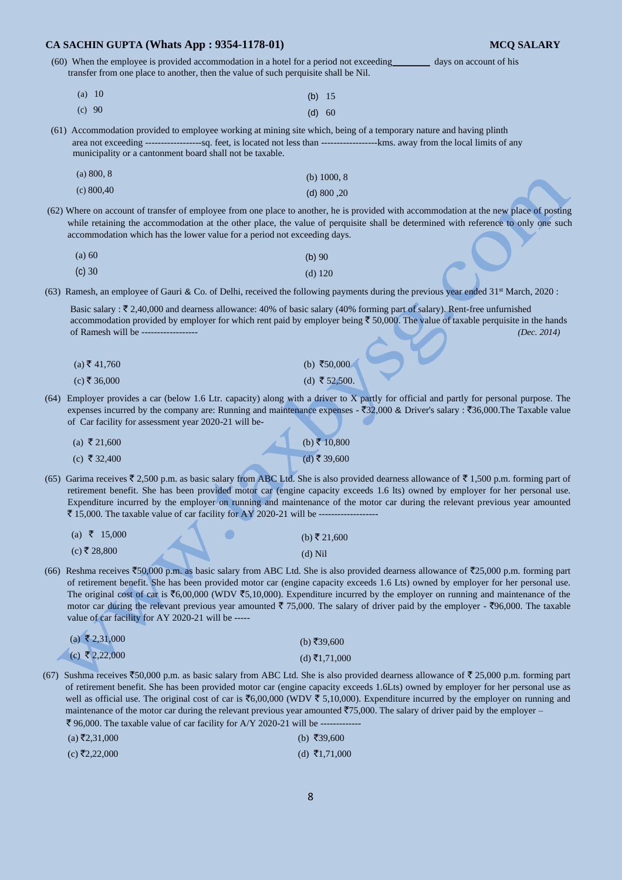(60) When the employee is provided accommodation in a hotel for a period not exceeding\_\_\_\_\_\_\_\_ days on account of his transfer from one place to another, then the value of such perquisite shall be Nil.

| (a) $10$ | (b) $15$ |  |
|----------|----------|--|
| (c) 90   | (d) 60   |  |

(61) Accommodation provided to employee working at mining site which, being of a temporary nature and having plinth area not exceeding ------------------sq. feet, is located not less than ------------------kms. away from the local limits of any municipality or a cantonment board shall not be taxable.

| (a) 800, 8   | (b) $1000, 8$ |
|--------------|---------------|
| (c) $800,40$ | (d) 800, 20   |

(62) Where on account of transfer of employee from one place to another, he is provided with accommodation at the new place of posting while retaining the accommodation at the other place, the value of perquisite shall be determined with reference to only one such accommodation which has the lower value for a period not exceeding days.

| (a) 60 | $(b)$ 90  |
|--------|-----------|
| (c) 30 | $(d)$ 120 |

(63) Ramesh, an employee of Gauri & Co. of Delhi, received the following payments during the previous year ended 31<sup>st</sup> March, 2020 :

Basic salary :  $\bar{\tau}$  2,40,000 and dearness allowance: 40% of basic salary (40% forming part of salary). Rent-free unfurnished accommodation provided by employer for which rent paid by employer being  $\bar{\tau}$  50,000. The value of taxable perquisite in the hands of Ramesh will be ------------------ *(Dec. 2014)* 

| (a) ₹ 41,760 | (b) ₹50,000   |
|--------------|---------------|
| (c) ₹ 36,000 | (d) ₹ 52,500. |

(64) Employer provides a car (below 1.6 Ltr. capacity) along with a driver to X partly for official and partly for personal purpose. The expenses incurred by the company are: Running and maintenance expenses -  $\overline{3}32,000$  & Driver's salary :  $\overline{3}36,000$ . The Taxable value of Car facility for assessment year 2020-21 will be-

| (a) ₹ 21,600 | (b) ₹ 10,800 |
|--------------|--------------|
| (c) ₹ 32,400 | (d) ₹ 39,600 |

(65) Garima receives  $\bar{\ell}$  2,500 p.m. as basic salary from ABC Ltd. She is also provided dearness allowance of  $\bar{\ell}$  1,500 p.m. forming part of retirement benefit. She has been provided motor car (engine capacity exceeds 1.6 lts) owned by employer for her personal use. Expenditure incurred by the employer on running and maintenance of the motor car during the relevant previous year amounted ` 15,000. The taxable value of car facility for AY 2020-21 will be -------------------

| (a) ₹ 15,000 | (b) ₹ 21,600 |
|--------------|--------------|
| (c) ₹ 28,800 | $(d)$ Nil    |

(66) Reshma receives  $\text{\textless}50,000$  p.m. as basic salary from ABC Ltd. She is also provided dearness allowance of  $\text{\textless}25,000$  p.m. forming part of retirement benefit. She has been provided motor car (engine capacity exceeds 1.6 Lts) owned by employer for her personal use. The original cost of car is  $\mathfrak{F}_{6,00,000}$  (WDV  $\mathfrak{F}_{5,10,000}$ ). Expenditure incurred by the employer on running and maintenance of the motor car during the relevant previous year amounted  $\bar{\tau}$  75,000. The salary of driver paid by the employer -  $\bar{\tau}$ 96,000. The taxable value of car facility for AY 2020-21 will be ---

| (a) ₹2,31,000  | (b) ₹39,600   |
|----------------|---------------|
| (c) ₹ 2,22,000 | (d) ₹1,71,000 |

(67) Sushma receives  $\overline{50,000}$  p.m. as basic salary from ABC Ltd. She is also provided dearness allowance of  $\overline{5}$  25,000 p.m. forming part of retirement benefit. She has been provided motor car (engine capacity exceeds 1.6Lts) owned by employer for her personal use as well as official use. The original cost of car is  $\text{\textless}6,00,000$  (WDV  $\text{\textless}5,10,000$ ). Expenditure incurred by the employer on running and maintenance of the motor car during the relevant previous year amounted  $\overline{575,000}$ . The salary of driver paid by the employer –  $\bar{\xi}$  96,000. The taxable value of car facility for A/Y 2020-21 will be -

| $(a)$ ₹2,31,000 | (b) ₹39,600   |
|-----------------|---------------|
| (c) ₹2,22,000   | (d) ₹1,71,000 |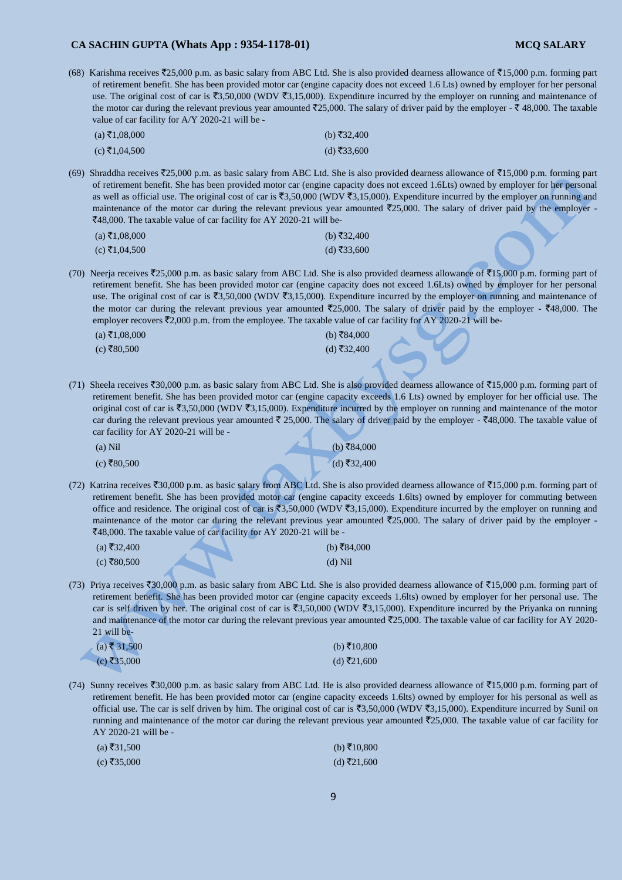(68) Karishma receives  $\overline{5}25,000$  p.m. as basic salary from ABC Ltd. She is also provided dearness allowance of  $\overline{5}15,000$  p.m. forming part of retirement benefit. She has been provided motor car (engine capacity does not exceed 1.6 Lts) owned by employer for her personal use. The original cost of car is  $\overline{3,50,000}$  (WDV  $\overline{3,15,000}$ ). Expenditure incurred by the employer on running and maintenance of the motor car during the relevant previous year amounted  $\bar{\tau}$ 25,000. The salary of driver paid by the employer -  $\bar{\tau}$  48,000. The taxable value of car facility for A/Y 2020-21 will be -

| $(a) \xi1,08,000$ | (b) ₹32,400 |
|-------------------|-------------|
| $(c)$ ₹1,04,500   | (d) ₹33,600 |

(69) Shraddha receives  $\overline{525,000}$  p.m. as basic salary from ABC Ltd. She is also provided dearness allowance of  $\overline{515,000}$  p.m. forming part of retirement benefit. She has been provided motor car (engine capacity does not exceed 1.6Lts) owned by employer for her personal as well as official use. The original cost of car is  $\overline{3,50,000}$  (WDV  $\overline{3,15,000}$ ). Expenditure incurred by the employer on running and maintenance of the motor car during the relevant previous year amounted  $\bar{\tau}$ 25,000. The salary of driver paid by the employer -`48,000. The taxable value of car facility for AY 2020-21 will be-

| (a) ₹1,08,000 | (b) ₹32,400 |
|---------------|-------------|
| (c) ₹1,04,500 | (d) ₹33,600 |

(70) Neerja receives  $\text{\textless}25,000$  p.m. as basic salary from ABC Ltd. She is also provided dearness allowance of  $\text{\textless}15,000$  p.m. forming part of retirement benefit. She has been provided motor car (engine capacity does not exceed 1.6Lts) owned by employer for her personal use. The original cost of car is  $\overline{3,50,000}$  (WDV  $\overline{3,15,000}$ ). Expenditure incurred by the employer on running and maintenance of the motor car during the relevant previous year amounted  $\overline{25,000}$ . The salary of driver paid by the employer -  $\overline{48,000}$ . The employer recovers  $\bar{\mathfrak{Z}}2,000$  p.m. from the employee. The taxable value of car facility for AY 2020-21 will be-

| $(a)$ ₹1,08,000 | (b) ₹84,000 |
|-----------------|-------------|
| (c) ₹80,500     | (d) ₹32,400 |

(71) Sheela receives  $\overline{530,000}$  p.m. as basic salary from ABC Ltd. She is also provided dearness allowance of  $\overline{515,000}$  p.m. forming part of retirement benefit. She has been provided motor car (engine capacity exceeds 1.6 Lts) owned by employer for her official use. The original cost of car is  $\overline{5,50,000}$  (WDV  $\overline{5,15,000}$ ). Expenditure incurred by the employer on running and maintenance of the motor car during the relevant previous year amounted  $\bar{\ell}$  25,000. The salary of driver paid by the employer -  $\bar{\ell}48,000$ . The taxable value of car facility for AY 2020-21 will be -

 $(b)$ ₹84,000

|     | Nil |
|-----|-----|
| t a |     |

 $(c)$  ₹80,500 (d) ₹32,400

(72) Katrina receives  $\overline{530,000}$  p.m. as basic salary from ABC Ltd. She is also provided dearness allowance of  $\overline{515,000}$  p.m. forming part of retirement benefit. She has been provided motor car (engine capacity exceeds 1.6lts) owned by employer for commuting between office and residence. The original cost of car is  $\overline{3,50,000}$  (WDV  $\overline{3,15,000}$ ). Expenditure incurred by the employer on running and maintenance of the motor car during the relevant previous year amounted  $\bar{\tau}$ 25,000. The salary of driver paid by the employer -₹48,000. The taxable value of car facility for AY 2020-21 will be -

| (a) ₹32,400 | (b) ₹84,000 |
|-------------|-------------|
| (c) ₹80,500 | $(d)$ Nil   |

(73) Priya receives  $\overline{50,000}$  p.m. as basic salary from ABC Ltd. She is also provided dearness allowance of  $\overline{515,000}$  p.m. forming part of retirement benefit. She has been provided motor car (engine capacity exceeds 1.6lts) owned by employer for her personal use. The car is self driven by her. The original cost of car is  $\overline{53,50,000}$  (WDV  $\overline{53,15,000}$ ). Expenditure incurred by the Priyanka on running and maintenance of the motor car during the relevant previous year amounted  $\bar{z}$ 25,000. The taxable value of car facility for AY 2020-21 will be-

| $(a)$ ₹ 31,500 | (b) ₹10,800 |
|----------------|-------------|
| (c) ₹35,000    | (d) ₹21,600 |

(74) Sunny receives  $\overline{530,000}$  p.m. as basic salary from ABC Ltd. He is also provided dearness allowance of  $\overline{515,000}$  p.m. forming part of retirement benefit. He has been provided motor car (engine capacity exceeds 1.6lts) owned by employer for his personal as well as official use. The car is self driven by him. The original cost of car is  $\overline{3,50,000}$  (WDV  $\overline{3,15,000}$ ). Expenditure incurred by Sunil on running and maintenance of the motor car during the relevant previous year amounted  $\bar{\tau}$ 25,000. The taxable value of car facility for AY 2020-21 will be -

| $(a)$ ₹31,500 | (b) ₹10,800 |
|---------------|-------------|
| (c) ₹35,000   | (d) ₹21,600 |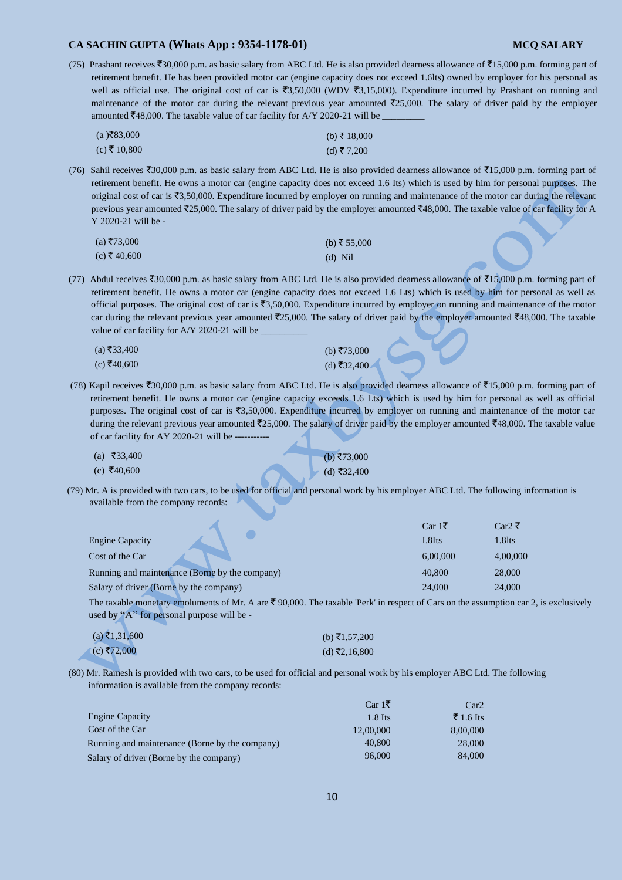(75) Prashant receives  $\text{\textsterling}30,000$  p.m. as basic salary from ABC Ltd. He is also provided dearness allowance of  $\text{\textsterling}15,000$  p.m. forming part of retirement benefit. He has been provided motor car (engine capacity does not exceed 1.6lts) owned by employer for his personal as well as official use. The original cost of car is  $\overline{53,50,000}$  (WDV  $\overline{53,15,000}$ ). Expenditure incurred by Prashant on running and maintenance of the motor car during the relevant previous year amounted  $\overline{25,000}$ . The salary of driver paid by the employer amounted  $\text{\textsterling}48,000$ . The taxable value of car facility for A/Y 2020-21 will be

| $(a)$ ₹83,000 | (b) ₹ 18,000 |
|---------------|--------------|
| (c) ₹ 10,800  | (d) ₹7,200   |

(76) Sahil receives  $\overline{530,000}$  p.m. as basic salary from ABC Ltd. He is also provided dearness allowance of  $\overline{515,000}$  p.m. forming part of retirement benefit. He owns a motor car (engine capacity does not exceed 1.6 Its) which is used by him for personal purposes. The original cost of car is  $\overline{53,50,000}$ . Expenditure incurred by employer on running and maintenance of the motor car during the relevant previous year amounted  $\overline{5}25,000$ . The salary of driver paid by the employer amounted  $\overline{5}48,000$ . The taxable value of car facility for A Y 2020-21 will be -

| $(a)$ ₹73,000 | (b) ₹ 55,000 |
|---------------|--------------|
| (c) ₹ 40,600  | $(d)$ Nil    |

(77) Abdul receives  $\bar{z}30,000$  p.m. as basic salary from ABC Ltd. He is also provided dearness allowance of  $\bar{z}15,000$  p.m. forming part of retirement benefit. He owns a motor car (engine capacity does not exceed 1.6 Lts) which is used by him for personal as well as official purposes. The original cost of car is  $\overline{5,50,000}$ . Expenditure incurred by employer on running and maintenance of the motor car during the relevant previous year amounted  $\bar{\zeta}$ 25,000. The salary of driver paid by the employer amounted  $\bar{\zeta}$ 48,000. The taxable value of car facility for A/Y 2020-21 will be

| $(a)$ ₹33,400 | (b) ₹73,000 |
|---------------|-------------|
| (c) ₹40,600   | (d) ₹32,400 |

(78) Kapil receives  $\overline{530,000}$  p.m. as basic salary from ABC Ltd. He is also provided dearness allowance of  $\overline{515,000}$  p.m. forming part of retirement benefit. He owns a motor car (engine capacity exceeds 1.6 Lts) which is used by him for personal as well as official purposes. The original cost of car is  $\overline{3,}50,000$ . Expenditure incurred by employer on running and maintenance of the motor car during the relevant previous year amounted  $\bar{\tau}$ 25,000. The salary of driver paid by the employer amounted  $\bar{\tau}$ 48,000. The taxable value of car facility for AY 2020-21 will be -----

| (a) ₹33,400 | (b) ₹73,000           |
|-------------|-----------------------|
| (c) ₹40,600 | $\bullet$ (d) ₹32,400 |

(79) Mr. A is provided with two cars, to be used for official and personal work by his employer ABC Ltd. The following information is available from the company records:

|                                                | $Car 1{}$ ₹   | Car2 ₹   |
|------------------------------------------------|---------------|----------|
| <b>Engine Capacity</b>                         | <b>L</b> 8Its | 1.8lts   |
| Cost of the Car                                | 6.00.000      | 4,00,000 |
| Running and maintenance (Borne by the company) | 40,800        | 28,000   |
| Salary of driver (Borne by the company)        | 24,000        | 24,000   |

The taxable monetary emoluments of Mr. A are  $\bar{\xi}$  90,000. The taxable 'Perk' in respect of Cars on the assumption car 2, is exclusively used by "A" for personal purpose will be -

| $(a) \xi1,31,600$ | (b) ₹1,57,200 |
|-------------------|---------------|
| (c) ₹72,000       | (d) ₹2,16,800 |

(80) Mr. Ramesh is provided with two cars, to be used for official and personal work by his employer ABC Ltd. The following information is available from the company records:

|                                                | $Car 1\bar{z}$ | Car2      |
|------------------------------------------------|----------------|-----------|
| <b>Engine Capacity</b>                         | $1.8$ Its      | ₹ 1.6 Its |
| Cost of the Car                                | 12,00,000      | 8,00,000  |
| Running and maintenance (Borne by the company) | 40,800         | 28,000    |
| Salary of driver (Borne by the company)        | 96,000         | 84,000    |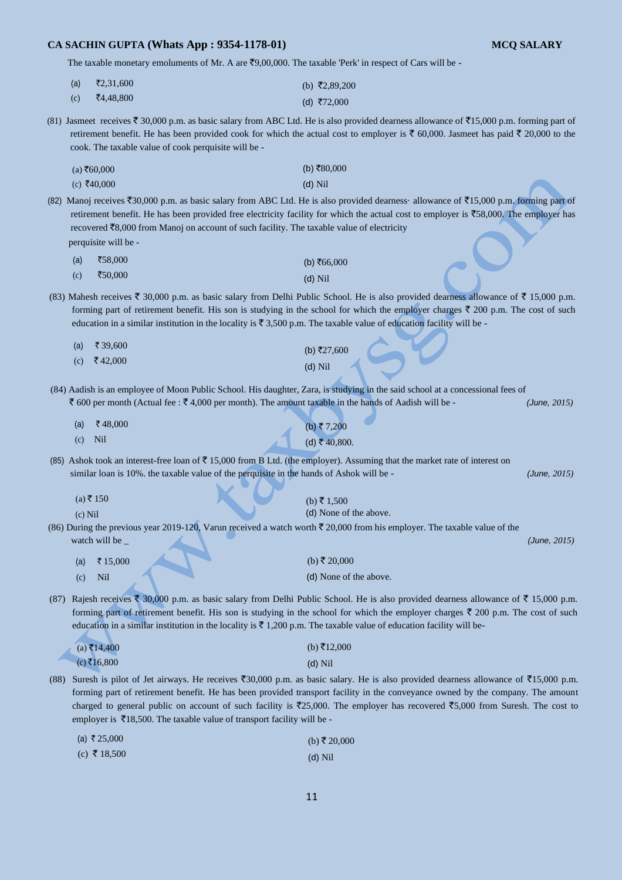The taxable monetary emoluments of Mr. A are  $\overline{z}9,00,000$ . The taxable 'Perk' in respect of Cars will be -

| (a) | $\bar{x}$ 2,31,600                      | (b) ₹2,89,200 |
|-----|-----------------------------------------|---------------|
|     | $\Sigma$ $\downarrow$ $\Omega$ $\Omega$ |               |

 $(c)$   $\bar{z}$ 4,48,800  $(d)$  ₹72,000

(81) Jasmeet receives  $\overline{5}$  30,000 p.m. as basic salary from ABC Ltd. He is also provided dearness allowance of  $\overline{5}$ 15,000 p.m. forming part of retirement benefit. He has been provided cook for which the actual cost to employer is  $\bar{\epsilon}$  60,000. Jasmeet has paid  $\bar{\epsilon}$  20,000 to the cook. The taxable value of cook perquisite will be -

| $(a)$ ₹60,000 | (b) ₹80,000 |
|---------------|-------------|
| (c) ₹40,000   | $(d)$ Nil   |

(82) Manoj receives  $\text{\textsterling}30,000$  p.m. as basic salary from ABC Ltd. He is also provided dearness· allowance of  $\text{\textsterling}15,000$  p.m. forming part of retirement benefit. He has been provided free electricity facility for which the actual cost to employer is  $\overline{58,000}$ . The employer has recovered  $\bar{z}8,000$  from Manoj on account of such facility. The taxable value of electricity

perquisite will be -

| (a) | ₹58,000 | (b) ₹66,000 |
|-----|---------|-------------|
| (c) | ₹50,000 | $(d)$ Nil   |

(83) Mahesh receives  $\bar{\tau}$  30,000 p.m. as basic salary from Delhi Public School. He is also provided dearness allowance of  $\bar{\tau}$  15,000 p.m. forming part of retirement benefit. His son is studying in the school for which the employer charges  $\bar{\tau}$  200 p.m. The cost of such education in a similar institution in the locality is  $\bar{\tau}$  3,500 p.m. The taxable value of education facility will be -

| (a) ₹ 39,600 | (b) ₹27,600 |
|--------------|-------------|
| (c) ₹42,000  | $(d)$ Nil   |

(84) Aadish is an employee of Moon Public School. His daughter, Zara, is studying in the said school at a concessional fees of  $\bar{\zeta}$  600 per month (Actual fee :  $\bar{\zeta}$  4,000 per month). The amount taxable in the hands of Aadish will be - *(June, 2015)* 

| (a) | ₹48,000 | (b) ₹7,200   |  |
|-----|---------|--------------|--|
| (c) | Nil     | (d) ₹40,800. |  |

(85) Ashok took an interest-free loan of  $\bar{\tau}$  15,000 from B Ltd. (the employer). Assuming that the market rate of interest on similar loan is 10%. the taxable value of the perquisite in the hands of Ashok will be - *(June, 2015)* 

 $(b)$ ₹ 1,500

(d) None of the above.

 $(a)$  ₹ 150

(c) Nil

(86) During the previous year 2019-120, Varun received a watch worth  $\bar{\tau}$  20,000 from his employer. The taxable value of the watch will be \_ *(June, 2015) (June, 2015) (* 

| (a) | $\sqrt{515,000}$ | (b) ₹ 20,000           |
|-----|------------------|------------------------|
| (c) | Nil              | (d) None of the above. |

(87) Rajesh receives  $\bar{\xi}$  30,000 p.m. as basic salary from Delhi Public School. He is also provided dearness allowance of  $\bar{\xi}$  15,000 p.m. forming part of retirement benefit. His son is studying in the school for which the employer charges  $\bar{\tau}$  200 p.m. The cost of such education in a similar institution in the locality is  $\bar{\tau}$  1,200 p.m. The taxable value of education facility will be-

| $(a)$ ₹14,400 | (b) ₹12,000 |
|---------------|-------------|
| (c) ₹16,800   | $(d)$ Nil   |

(88) Suresh is pilot of Jet airways. He receives  $\overline{50,000}$  p.m. as basic salary. He is also provided dearness allowance of  $\overline{515,000}$  p.m. forming part of retirement benefit. He has been provided transport facility in the conveyance owned by the company. The amount charged to general public on account of such facility is  $\overline{25,000}$ . The employer has recovered  $\overline{5,000}$  from Suresh. The cost to employer is  $\overline{\mathfrak{e}}18,500$ . The taxable value of transport facility will be -

| (a) ₹25,000  | (b) ₹ 20,000 |
|--------------|--------------|
| (c) ₹ 18,500 | $(d)$ Nil    |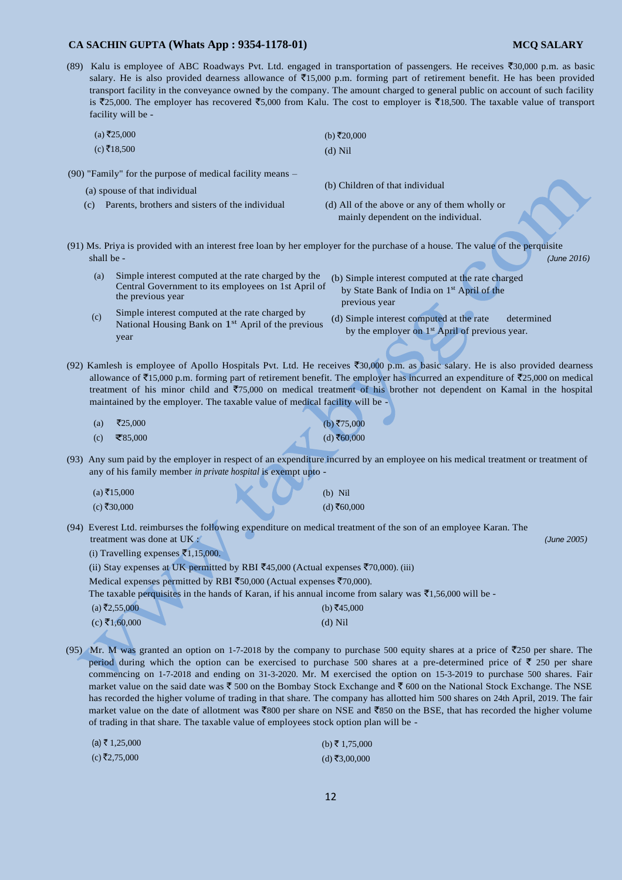- 
- (89) Kalu is employee of ABC Roadways Pvt. Ltd. engaged in transportation of passengers. He receives  $\overline{$}30,000$  p.m. as basic salary. He is also provided dearness allowance of  $\overline{5}15,000$  p.m. forming part of retirement benefit. He has been provided transport facility in the conveyance owned by the company. The amount charged to general public on account of such facility is ₹25,000. The employer has recovered ₹5,000 from Kalu. The cost to employer is ₹18,500. The taxable value of transport facility will be -

| $(a)$ ₹25,000 | (b) ₹20,000 |
|---------------|-------------|
| (c) ₹18,500   | $(d)$ Nil   |

- (90) "Family" for the purpose of medical facility means
	- (a) spouse of that individual (b) Children of that individual
	-
	- (c) Parents, brothers and sisters of the individual (d) All of the above or any of them wholly or mainly dependent on the individual.
- (91) Ms. Priya is provided with an interest free loan by her employer for the purchase of a house. The value of the perquisite shall be - *(June 2016)* 
	- (a) Simple interest computed at the rate charged by the Central Government to its employees on 1st April of the previous year
- (b) Simple interest computed at the rate charged by State Bank of India on 1<sup>st</sup> April of the previous year

(d) Simple interest computed at the rate determined by the employer on 1<sup>st</sup> April of previous year.

Simple interest computed at the rate charged by National Housing Bank on 1<sup>st</sup> April of the previous year  $(c)$ 

(92) Kamlesh is employee of Apollo Hospitals Pvt. Ltd. He receives  $\overline{50,000}$  p.m. as basic salary. He is also provided dearness allowance of  $\bar{\mathfrak{Z}}$ 15,000 p.m. forming part of retirement benefit. The employer has incurred an expenditure of  $\bar{\mathfrak{Z}}$ 25,000 on medical treatment of his minor child and  $\overline{7}75,000$  on medical treatment of his brother not dependent on Kamal in the hospital maintained by the employer. The taxable value of medical facility will be -

- $(a)$  ₹25,000  $(c)$  ₹85,000  $(b) ₹75,000$  $(d)$  ₹60,000
- (93) Any sum paid by the employer in respect of an expenditure incurred by an employee on his medical treatment or treatment of any of his family member *in private hospital* is exempt upto -

| $(a)$ ₹15,000 |  | $(b)$ Nil     |
|---------------|--|---------------|
| $(c)$ ₹30,000 |  | $(d)$ ₹60,000 |

(94) Everest Ltd. reimburses the following expenditure on medical treatment of the son of an employee Karan. The treatment was done at UK : *(June 2005)* 

(i) Travelling expenses  $\bar{x}$ 1,15,000.

(ii) Stay expenses at UK permitted by RBI  $\bar{z}$ 45,000 (Actual expenses  $\bar{z}$ 70,000). (iii)

Medical expenses permitted by RBI  $\text{\textsterling}50,000$  (Actual expenses  $\text{\textsterling}70,000$ ).

The taxable perquisites in the hands of Karan, if his annual income from salary was  $\bar{\xi}$ 1,56,000 will be -

| $(a)$ ₹2,55,000 | (b) ₹45,000 |
|-----------------|-------------|
| $(c)$ ₹1,60,000 | $(d)$ Nil   |

(95) Mr. M was granted an option on 1-7-2018 by the company to purchase 500 equity shares at a price of  $\overline{2}250$  per share. The period during which the option can be exercised to purchase 500 shares at a pre-determined price of  $\bar{\tau}$  250 per share commencing on 1-7-2018 and ending on 31-3-2020. Mr. M exercised the option on 15-3-2019 to purchase 500 shares. Fair market value on the said date was  $\bar{\tau}$  500 on the Bombay Stock Exchange and  $\bar{\tau}$  600 on the National Stock Exchange. The NSE has recorded the higher volume of trading in that share. The company has allotted him 500 shares on 24th April, 2019. The fair market value on the date of allotment was  $\overline{800}$  per share on NSE and  $\overline{850}$  on the BSE, that has recorded the higher volume of trading in that share. The taxable value of employees stock option plan will be -

| (a) ₹ 1,25,000 | (b) ₹ 1,75,000 |
|----------------|----------------|
| (c) ₹2,75,000  | (d) ₹3,00,000  |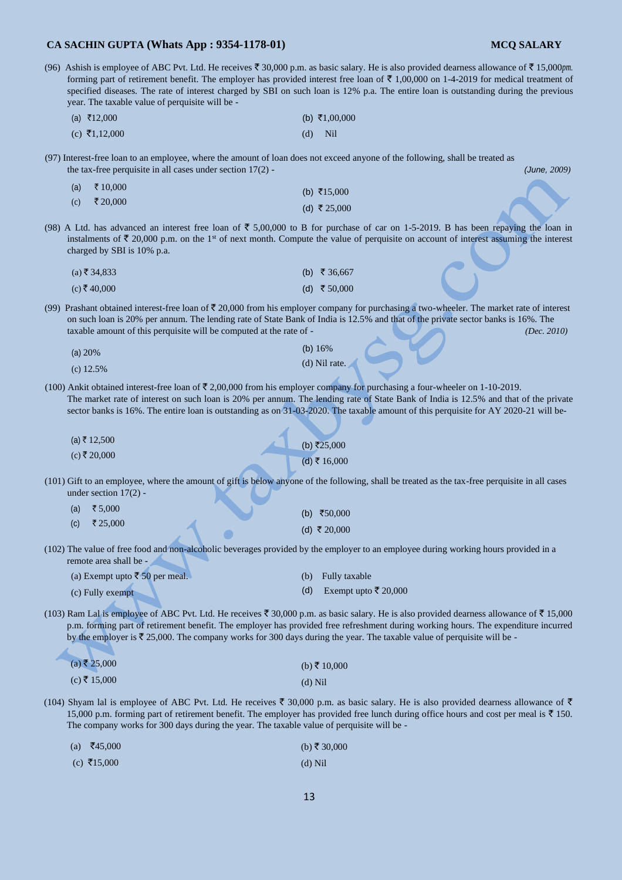$(c) \space \overline{\mathfrak{F}}15,000$ 

|                                                                                                                                                                                                                                                                                                                                                                                | (96) Ashish is employee of ABC Pvt. Ltd. He receives $\bar{\xi}$ 30,000 p.m. as basic salary. He is also provided dearness allowance of $\bar{\xi}$ 15,000pm.<br>forming part of retirement benefit. The employer has provided interest free loan of $\bar{\tau}$ 1,00,000 on 1-4-2019 for medical treatment of<br>specified diseases. The rate of interest charged by SBI on such loan is 12% p.a. The entire loan is outstanding during the previous<br>year. The taxable value of perquisite will be - |           |                      |              |
|--------------------------------------------------------------------------------------------------------------------------------------------------------------------------------------------------------------------------------------------------------------------------------------------------------------------------------------------------------------------------------|-----------------------------------------------------------------------------------------------------------------------------------------------------------------------------------------------------------------------------------------------------------------------------------------------------------------------------------------------------------------------------------------------------------------------------------------------------------------------------------------------------------|-----------|----------------------|--------------|
|                                                                                                                                                                                                                                                                                                                                                                                | (a) ₹12,000                                                                                                                                                                                                                                                                                                                                                                                                                                                                                               |           | (b) ₹1,00,000        |              |
|                                                                                                                                                                                                                                                                                                                                                                                | (c) ₹1,12,000                                                                                                                                                                                                                                                                                                                                                                                                                                                                                             | (d)       | Nil                  |              |
|                                                                                                                                                                                                                                                                                                                                                                                | (97) Interest-free loan to an employee, where the amount of loan does not exceed anyone of the following, shall be treated as<br>the tax-free perquisite in all cases under section $17(2)$ -                                                                                                                                                                                                                                                                                                             |           |                      | (June, 2009) |
|                                                                                                                                                                                                                                                                                                                                                                                | ₹ 10,000<br>(a)                                                                                                                                                                                                                                                                                                                                                                                                                                                                                           |           | (b) ₹15,000          |              |
|                                                                                                                                                                                                                                                                                                                                                                                | ₹ 20,000<br>(c)                                                                                                                                                                                                                                                                                                                                                                                                                                                                                           |           | (d) ₹ 25,000         |              |
|                                                                                                                                                                                                                                                                                                                                                                                | (98) A Ltd. has advanced an interest free loan of $\bar{\tau}$ 5,00,000 to B for purchase of car on 1-5-2019. B has been repaying the loan in<br>instalments of $\bar{\tau}$ 20,000 p.m. on the 1 <sup>st</sup> of next month. Compute the value of perquisite on account of interest assuming the interest<br>charged by SBI is 10% p.a.                                                                                                                                                                 |           |                      |              |
|                                                                                                                                                                                                                                                                                                                                                                                | $(a)$ ₹ 34,833                                                                                                                                                                                                                                                                                                                                                                                                                                                                                            |           | (b) ₹ 36,667         |              |
|                                                                                                                                                                                                                                                                                                                                                                                | $(c)$ ₹40,000                                                                                                                                                                                                                                                                                                                                                                                                                                                                                             |           | (d) ₹ 50,000         |              |
| (99) Prashant obtained interest-free loan of $\bar{\tau}$ 20,000 from his employer company for purchasing a two-wheeler. The market rate of interest<br>on such loan is 20% per annum. The lending rate of State Bank of India is 12.5% and that of the private sector banks is 16%. The<br>taxable amount of this perquisite will be computed at the rate of -<br>(Dec. 2010) |                                                                                                                                                                                                                                                                                                                                                                                                                                                                                                           |           |                      |              |
|                                                                                                                                                                                                                                                                                                                                                                                | (a) $20%$                                                                                                                                                                                                                                                                                                                                                                                                                                                                                                 |           | (b) $16%$            |              |
|                                                                                                                                                                                                                                                                                                                                                                                | $(c)$ 12.5%                                                                                                                                                                                                                                                                                                                                                                                                                                                                                               |           | (d) Nil rate.        |              |
|                                                                                                                                                                                                                                                                                                                                                                                | (100) Ankit obtained interest-free loan of $\bar{\tau}$ 2,00,000 from his employer company for purchasing a four-wheeler on 1-10-2019.<br>The market rate of interest on such loan is 20% per annum. The lending rate of State Bank of India is 12.5% and that of the private<br>sector banks is 16%. The entire loan is outstanding as on 31-03-2020. The taxable amount of this perquisite for AY 2020-21 will be-                                                                                      |           |                      |              |
|                                                                                                                                                                                                                                                                                                                                                                                | (a) ₹ 12,500                                                                                                                                                                                                                                                                                                                                                                                                                                                                                              |           | (b) ₹25,000          |              |
|                                                                                                                                                                                                                                                                                                                                                                                | $(c)$ ₹ 20,000                                                                                                                                                                                                                                                                                                                                                                                                                                                                                            |           | (d) ₹ 16,000         |              |
| (101) Gift to an employee, where the amount of gift is below anyone of the following, shall be treated as the tax-free perquisite in all cases<br>under section $17(2)$ -                                                                                                                                                                                                      |                                                                                                                                                                                                                                                                                                                                                                                                                                                                                                           |           |                      |              |
|                                                                                                                                                                                                                                                                                                                                                                                | ₹ $5,000$<br>(a)                                                                                                                                                                                                                                                                                                                                                                                                                                                                                          |           | (b) ₹50,000          |              |
|                                                                                                                                                                                                                                                                                                                                                                                | ₹ 25,000<br>(c)                                                                                                                                                                                                                                                                                                                                                                                                                                                                                           |           | (d) ₹ 20,000         |              |
|                                                                                                                                                                                                                                                                                                                                                                                | (102) The value of free food and non-alcoholic beverages provided by the employer to an employee during working hours provided in a<br>remote area shall be -                                                                                                                                                                                                                                                                                                                                             |           |                      |              |
|                                                                                                                                                                                                                                                                                                                                                                                | (a) Exempt upto ₹ 50 per meal.                                                                                                                                                                                                                                                                                                                                                                                                                                                                            | (b)       | Fully taxable        |              |
|                                                                                                                                                                                                                                                                                                                                                                                | (c) Fully exempt                                                                                                                                                                                                                                                                                                                                                                                                                                                                                          | (d)       | Exempt upto ₹ 20,000 |              |
|                                                                                                                                                                                                                                                                                                                                                                                | (103) Ram Lal is employee of ABC Pvt. Ltd. He receives ₹ 30,000 p.m. as basic salary. He is also provided dearness allowance of ₹ 15,000<br>p.m. forming part of retirement benefit. The employer has provided free refreshment during working hours. The expenditure incurred<br>by the employer is $\bar{\tau}$ 25,000. The company works for 300 days during the year. The taxable value of perquisite will be -                                                                                       |           |                      |              |
|                                                                                                                                                                                                                                                                                                                                                                                | $(a)$ ₹ 25,000                                                                                                                                                                                                                                                                                                                                                                                                                                                                                            |           | (b) ₹ 10,000         |              |
|                                                                                                                                                                                                                                                                                                                                                                                | $(c)$ ₹ 15,000                                                                                                                                                                                                                                                                                                                                                                                                                                                                                            | $(d)$ Nil |                      |              |
|                                                                                                                                                                                                                                                                                                                                                                                | (104) Shyam lal is employee of ABC Pvt. Ltd. He receives ₹ 30,000 p.m. as basic salary. He is also provided dearness allowance of ₹<br>15,000 p.m. forming part of retirement benefit. The employer has provided free lunch during office hours and cost per meal is $\bar{\mathfrak{F}}$ 150.<br>The company works for 300 days during the year. The taxable value of perquisite will be -                                                                                                               |           |                      |              |
|                                                                                                                                                                                                                                                                                                                                                                                | ₹45,000<br>(a)                                                                                                                                                                                                                                                                                                                                                                                                                                                                                            |           | (b) ₹ 30,000         |              |

13

(d) Nil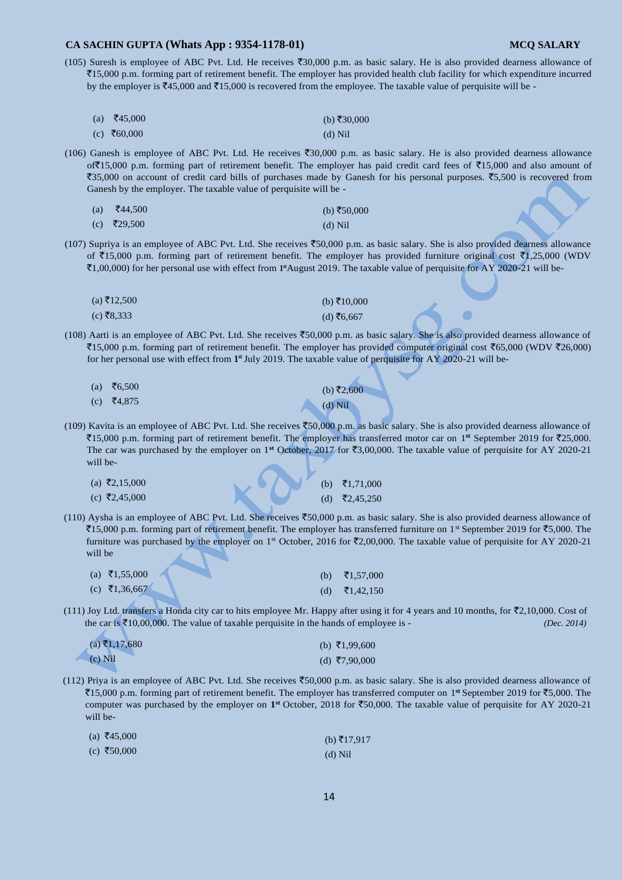(105) Suresh is employee of ABC Pvt. Ltd. He receives  $\overline{30,000}$  p.m. as basic salary. He is also provided dearness allowance of `15,000 p.m. forming part of retirement benefit. The employer has provided health club facility for which expenditure incurred by the employer is  $\overline{*}45,000$  and  $\overline{*}15,000$  is recovered from the employee. The taxable value of perquisite will be -

| (a) $\bar{z}$ 45,000 | (b) ₹30,000 |
|----------------------|-------------|
| (c) ₹60,000          | $(d)$ Nil   |

(106) Ganesh is employee of ABC Pvt. Ltd. He receives  $\text{\textdegree{30,000}}$  p.m. as basic salary. He is also provided dearness allowance of $\overline{$}15,000$  p.m. forming part of retirement benefit. The employer has paid credit card fees of  $\overline{$}15,000$  and also amount of ₹35,000 on account of credit card bills of purchases made by Ganesh for his personal purposes. ₹5,500 is recovered from Ganesh by the employer. The taxable value of perquisite will be -

| (a) $\bar{z}$ 44,500   | (b) ₹50,000 |
|------------------------|-------------|
| (c) $\bar{\xi}$ 29,500 | $(d)$ Nil   |

(107) Supriya is an employee of ABC Pvt. Ltd. She receives  $\overline{50,000}$  p.m. as basic salary. She is also provided dearness allowance of  $\bar{\mathfrak{e}}$ 15,000 p.m. forming part of retirement benefit. The employer has provided furniture original cost  $\bar{\mathfrak{e}}$ 1,25,000 (WDV `1,00,000) for her personal use with effect from **1 st**August 2019. The taxable value of perquisite for AY 2020-21 will be-

| (a) ₹12,500 | (b) ₹10,000 |
|-------------|-------------|
| (c) ₹8,333  | (d) ₹6,667  |

(108) Aarti is an employee of ABC Pvt. Ltd. She receives  $\overline{50,000}$  p.m. as basic salary. She is also provided dearness allowance of  $\text{\textsterling}15,000$  p.m. forming part of retirement benefit. The employer has provided computer original cost  $\text{\textsterling}65,000$  (WDV  $\text{\textsterling}26,000$ ) for her personal use with effect from **1 st** July 2019. The taxable value of perquisite for AY 2020-21 will be-

| (a) ₹6,500 | (b) ₹2,600 |
|------------|------------|
| (c) ₹4,875 | $(d)$ Nil  |

(109) Kavita is an employee of ABC Pvt. Ltd. She receives `50,000 p.m. as basic salary. She is also provided dearness allowance of `15,000 p.m. forming part of retirement benefit. The employer has transferred motor car on 1 **st** September 2019 for `25,000. The car was purchased by the employer on 1<sup>st</sup> October, 2017 for  $\overline{53,00,000}$ . The taxable value of perquisite for AY 2020-21 will be-

| (a) ₹2,15,000 |  |  | (b) $\bar{z}$ 1,71,000    |
|---------------|--|--|---------------------------|
| (c) ₹2,45,000 |  |  | (d) $\bar{\zeta}2,45,250$ |

(110) Aysha is an employee of ABC Pvt. Ltd. She receives  $\text{\textsterling}50,000$  p.m. as basic salary. She is also provided dearness allowance of  $\text{\textsterling}15,000$  p.m. forming part of retirement benefit. The employer has transferred furniture on 1st September 2019 for  $\text{\textsterling}5,000$ . The furniture was purchased by the employer on 1<sup>st</sup> October, 2016 for  $\bar{\ell}2,00,000$ . The taxable value of perquisite for AY 2020-21 will be

| (a) ₹1,55,000 | (b) $\bar{x}$ 1,57,000 |
|---------------|------------------------|
| (c) ₹1,36,667 | (d) $\bar{x}$ 1,42,150 |

(111) Joy Ltd. transfers a Honda city car to hits employee Mr. Happy after using it for 4 years and 10 months, for  $\overline{52,10,000}$ . Cost of the car is  $\bar{\mathcal{F}}10,00,000$ . The value of taxable perquisite in the hands of employee is - *(Dec. 2014)* 

| (a) ₹1,17,680 | (b) $\bar{\tau}1,99,600$ |
|---------------|--------------------------|
| $(c)$ Nil     | (d) ₹7,90,000            |

(112) Priya is an employee of ABC Pvt. Ltd. She receives  $\overline{50,000}$  p.m. as basic salary. She is also provided dearness allowance of `15,000 p.m. forming part of retirement benefit. The employer has transferred computer on 1 **st** September 2019 for `5,000. The computer was purchased by the employer on **1 st** October, 2018 for `50,000. The taxable value of perquisite for AY 2020-21 will be-

| $(a) \; ₹45,000$ | (b) $\bar{\tau}$ 17,917 |
|------------------|-------------------------|
| (c) ₹50,000      | $(d)$ Nil               |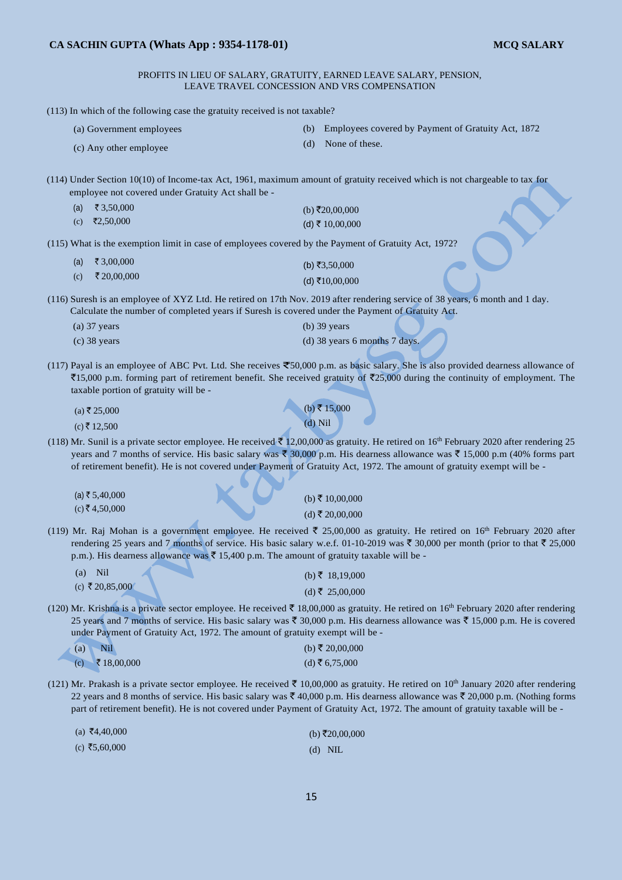PROFITS IN LIEU OF SALARY, GRATUITY, EARNED LEAVE SALARY, PENSION, LEAVE TRAVEL CONCESSION AND VRS COMPENSATION

(113) In which of the following case the gratuity received is not taxable? (a) Government employees (b) Employees covered by Payment of Gratuity Act, 1872 (d) None of these. (c) Any other employee (114) Under Section 10(10) of Income-tax Act, 1961, maximum amount of gratuity received which is not chargeable to tax for employee not covered under Gratuity Act shall be -  $(a)$  ₹ 3,50,000  $(c)$  ₹2,50,000  $(b)$ ₹20,00,000  $(d)$  ₹ 10,00,000 (115) What is the exemption limit in case of employees covered by the Payment of Gratuity Act, 1972?  $(a) \quad \overline{3}3,00,000$  $(c)$  ₹ 20,00,000  $(b)$ ₹3,50,000  $(d)$ ₹10,00,000 (116) Suresh is an employee of XYZ Ltd. He retired on 17th Nov. 2019 after rendering service of 38 years, 6 month and 1 day. Calculate the number of completed years if Suresh is covered under the Payment of Gratuity Act. (a) 37 years (b) 39 years (c) 38 years (d) 38 years 6 months 7 days.  $(117)$  Payal is an employee of ABC Pvt. Ltd. She receives  $\overline{50,000}$  p.m. as basic salary. She is also provided dearness allowance of  $\bar{z}$ 15,000 p.m. forming part of retirement benefit. She received gratuity of  $\bar{z}$ 25,000 during the continuity of employment. The taxable portion of gratuity will be -  $(a) \bar{z} 25,000$  $(c)$  ₹ 12,500  $(b)$ ₹15,000 (d) Nil (118) Mr. Sunil is a private sector employee. He received  $\bar{5}$  12,00,000 as gratuity. He retired on 16<sup>th</sup> February 2020 after rendering 25 years and 7 months of service. His basic salary was  $\bar{\mathfrak{F}}$  30,000 p.m. His dearness allowance was  $\bar{\mathfrak{F}}$  15,000 p.m (40% forms part of retirement benefit). He is not covered under Payment of Gratuity Act, 1972. The amount of gratuity exempt will be -  $(a)$ ₹ 5,40,000  $(c)$  ₹ 4,50,000  $(b)$ ₹ 10,00,000  $(d)$  ₹ 20,00,000 (119) Mr. Raj Mohan is a government employee. He received  $\bar{\bar{\tau}}$  25,00,000 as gratuity. He retired on 16<sup>th</sup> February 2020 after rendering 25 years and 7 months of service. His basic salary w.e.f. 01-10-2019 was  $\bar{\tau}$  30,000 per month (prior to that  $\bar{\tau}$  25,000 p.m.). His dearness allowance was  $\bar{\tau}$  15,400 p.m. The amount of gratuity taxable will be -(a) Nil  $(c)$  ₹ 20,85,000  $(b) \bar{z}$  18,19,000  $(d)$ ₹ 25,00,000 (120) Mr. Krishna is a private sector employee. He received  $\bar{\tau}$  18,00,000 as gratuity. He retired on 16<sup>th</sup> February 2020 after rendering 25 years and 7 months of service. His basic salary was  $\bar{\tau}$  30,000 p.m. His dearness allowance was  $\bar{\tau}$  15,000 p.m. He is covered under Payment of Gratuity Act, 1972. The amount of gratuity exempt will be - (a) Nil (b)  $\bar{z}$  20,00,000 (c)  $\bar{x}$  18,00,000 (d)  $\bar{x}$  6,75,000 (121) Mr. Prakash is a private sector employee. He received  $\bar{\tau}$  10,00,000 as gratuity. He retired on 10<sup>th</sup> January 2020 after rendering 22 years and 8 months of service. His basic salary was  $\bar{\xi}$  40,000 p.m. His dearness allowance was  $\bar{\xi}$  20,000 p.m. (Nothing forms

| $(a)$ ₹4,40,000 | (b) ₹20,00,000 |
|-----------------|----------------|
| (c) ₹5,60,000   | $(d)$ NIL      |

part of retirement benefit). He is not covered under Payment of Gratuity Act, 1972. The amount of gratuity taxable will be -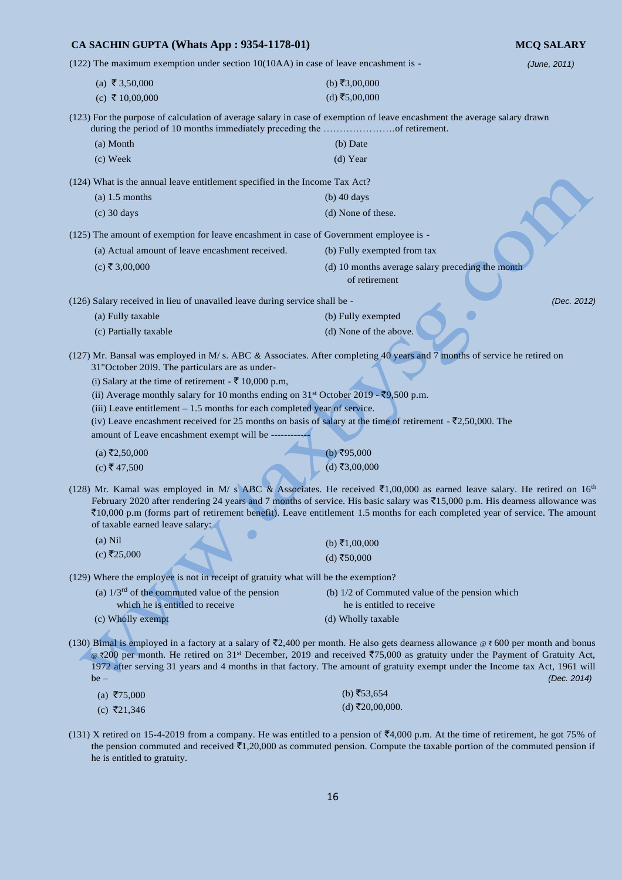# **CA SACHIN GUPTA (Whats App : 9354-1178-01) MCQ SALARY** (122) The maximum exemption under section 10(10AA) in case of leave encashment is - *(June, 2011)*   $(b) \xi 3,00,000$  $(a)$  ₹ 3,50,000  $(c)$  ₹ 10,00,000  $(d)$  ₹5,00,000 (123) For the purpose of calculation of average salary in case of exemption of leave encashment the average salary drawn during the period of 10 months immediately preceding the ………………….of retirement. (a) Month (b) Date (c) Week (d) Year (124) What is the annual leave entitlement specified in the Income Tax Act? (a)  $1.5$  months (b)  $40 \text{ days}$ (c) 30 days (d) None of these. (125) The amount of exemption for leave encashment in case of Government employee is - (a) Actual amount of leave encashment received. (b) Fully exempted from tax (c)  $\overline{\xi}$  3,00,000 (d) 10 months average salary preceding the month of retirement (126) Salary received in lieu of unavailed leave during service shall be - *(Dec. 2012)*  (a) Fully taxable (b) Fully exempted (c) Partially taxable (d) None of the above. (127) Mr. Bansal was employed in M/ s. ABC & Associates. After completing 40 years and 7 months of service he retired on 31"October 20l9. The particulars are as under- (i) Salary at the time of retirement -  $\bar{\mathfrak{E}}$  10,000 p.m, (ii) Average monthly salary for 10 months ending on  $31<sup>st</sup>$  October 2019 -  $\overline{59}$ ,500 p.m. (iii) Leave entitlement – 1.5 months for each completed year of service. (iv) Leave encashment received for 25 months on basis of salary at the time of retirement -  $\overline{5}2,50,000$ . The amount of Leave encashment exempt will be - $(a) \xi$ 2,50,000  $(b)$  ₹95,000  $(c)$  ₹ 47,500  $(d)$ ₹3,00,000 (128) Mr. Kamal was employed in M/ s ABC & Associates. He received  $\bar{\epsilon}$ 1,00,000 as earned leave salary. He retired on 16<sup>th</sup> February 2020 after rendering 24 years and 7 months of service. His basic salary was  $\bar{z}15,000$  p.m. His dearness allowance was  $\bar{z}10,000$  p.m (forms part of retirement benefit). Leave entitlement 1.5 months for each completed year of service. The amount of taxable earned leave salary:  $\bullet$ (a) Nil  $(b) ₹1,00,000$  $(c)$ ₹25,000  $(d)$ ₹50,000 (129) Where the employee is not in receipt of gratuity what will be the exemption? (a)  $1/3^{rd}$  of the commuted value of the pension (b)  $1/2$  of Commuted value of the pension which which he is entitled to receive he is entitled to receive (c) Wholly exempt (d) Wholly taxable (130) Bimal is employed in a factory at a salary of  $\bar{\mathfrak{r}}2,400$  per month. He also gets dearness allowance  $\otimes \bar{\mathfrak{r}}$  600 per month and bonus @ ₹200 per month. He retired on 31<sup>st</sup> December, 2019 and received ₹75,000 as gratuity under the Payment of Gratuity Act, 1972 after serving 31 years and 4 months in that factory. The amount of gratuity exempt under the Income tax Act, 1961 will be – *(Dec. 2014)*   $(a)$  ₹75,000  $(b)$  ₹53,654  $(d)$ ₹20,00,000.  $(c)$  ₹21,346

(131) X retired on 15-4-2019 from a company. He was entitled to a pension of  $\overline{54,000}$  p.m. At the time of retirement, he got 75% of the pension commuted and received  $\bar{\tau}1,20,000$  as commuted pension. Compute the taxable portion of the commuted pension if he is entitled to gratuity.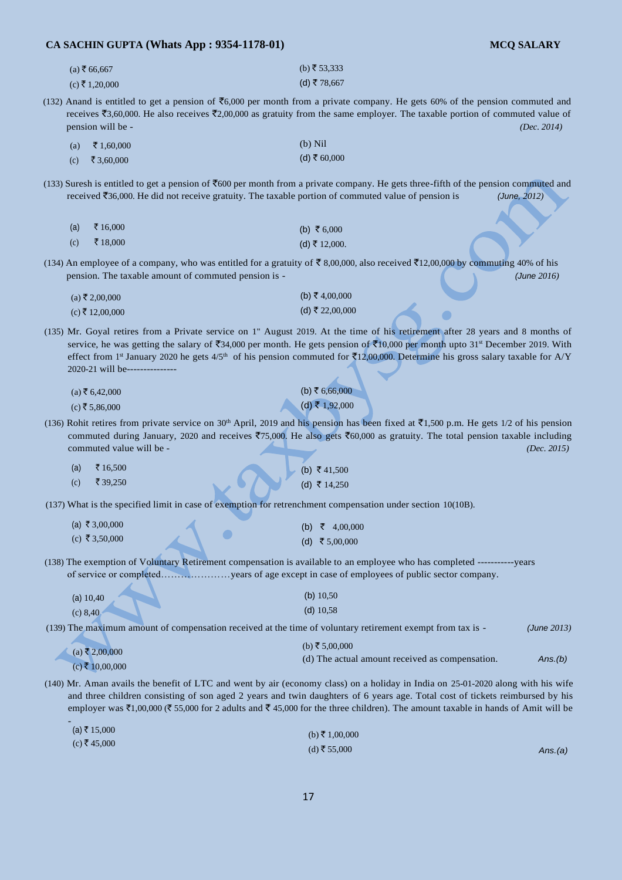| $(a)$ ₹ 66,667 | (b) ₹ 53,333 |
|----------------|--------------|
| (c) ₹ 1,20,000 | (d) ₹ 78,667 |

(132) Anand is entitled to get a pension of  $\overline{66,000}$  per month from a private company. He gets 60% of the pension commuted and receives ₹3,60,000. He also receives ₹2,00,000 as gratuity from the same employer. The taxable portion of commuted value of pension will be - *(Dec. 2014)* 

| (a) | ₹ 1,60,000           | $(b)$ Nil      |
|-----|----------------------|----------------|
| (c) | $\bar{\xi}$ 3,60,000 | (d) ₹ $60,000$ |

(133) Suresh is entitled to get a pension of  $\bar{z}$ 600 per month from a private company. He gets three-fifth of the pension commuted and received `36,000. He did not receive gratuity. The taxable portion of commuted value of pension is *(June, 2012)* 

| (a) | ₹ 16,000 | (b) ₹ 6,000   |
|-----|----------|---------------|
| (c) | र 18,000 | (d) ₹ 12,000. |

(134) An employee of a company, who was entitled for a gratuity of  $\overline{5}$  8,00,000, also received  $\overline{5}$ 12,00,000 by commuting 40% of his pension. The taxable amount of commuted pension is - *(June 2016)* 

| $(a)$ ₹ 2,00,000 | (b) ₹ 4,00,000  |
|------------------|-----------------|
| (c) ₹ 12,00,000  | (d) ₹ 22,00,000 |

(135) Mr. Goyal retires from a Private service on 1" August 2019. At the time of his retirement after 28 years and 8 months of service, he was getting the salary of  $\overline{34,000}$  per month. He gets pension of  $\overline{310,000}$  per month upto 31<sup>st</sup> December 2019. With effect from 1<sup>st</sup> January 2020 he gets  $4/5$ <sup>th</sup> of his pension commuted for  $\overline{5}12,00,000$ . Determine his gross salary taxable for A/Y 2020-21 will be----

| $(a)$ ₹ 6,42,000 | (b) ₹ 6,66,000 |
|------------------|----------------|
| $(c)$ ₹ 5,86,000 | (d) ₹ 1,92,000 |

(136) Rohit retires from private service on 30<sup>th</sup> April, 2019 and his pension has been fixed at  $\bar{c}1,500$  p.m. He gets 1/2 of his pension commuted during January, 2020 and receives  $\overline{5}75,000$ . He also gets  $\overline{5}60,000$  as gratuity. The total pension taxable including commuted value will be - *(Dec. 2015)* 

| (a) | ₹ 16.500           | L (b) ₹41,500 |
|-----|--------------------|---------------|
| (c) | $\bar{\xi}$ 39,250 | (d) ₹ 14,250  |

(137) What is the specified limit in case of exemption for retrenchment compensation under section 10(10B).

| (a) ₹ 3,00,000 |  | (b) ₹ 4,00,000 |
|----------------|--|----------------|
| (c) ₹ 3,50,000 |  | (d) ₹ 5,00,000 |

(138) The exemption of Voluntary Retirement compensation is available to an employee who has completed -----------years of service or completed…………………years of age except in case of employees of public sector company.

| (a) $10,40$ | (b) $10,50$ |
|-------------|-------------|
| (c) 8,40    | $(d)$ 10,58 |

-

(139) The maximum amount of compensation received at the time of voluntary retirement exempt from tax is - *(June 2013)* 

| $(a)$ ₹ 2,00,000  | (b) ₹ 5,00,000                                  |         |
|-------------------|-------------------------------------------------|---------|
|                   | (d) The actual amount received as compensation. | Ans.(b) |
| $(c)$ ₹ 10,00,000 |                                                 |         |

(140) Mr. Aman avails the benefit of LTC and went by air (economy class) on a holiday in India on 25-01-2020 along with his wife and three children consisting of son aged 2 years and twin daughters of 6 years age. Total cost of tickets reimbursed by his employer was  $\bar{\tau}$ 1,00,000 ( $\bar{\tau}$  55,000 for 2 adults and  $\bar{\tau}$  45,000 for the three children). The amount taxable in hands of Amit will be

| (a) ₹ 15,000 | (b) ₹ 1,00,000 |         |
|--------------|----------------|---------|
| (c) ₹ 45,000 | (d) ₹ 55,000   | Ans.(a) |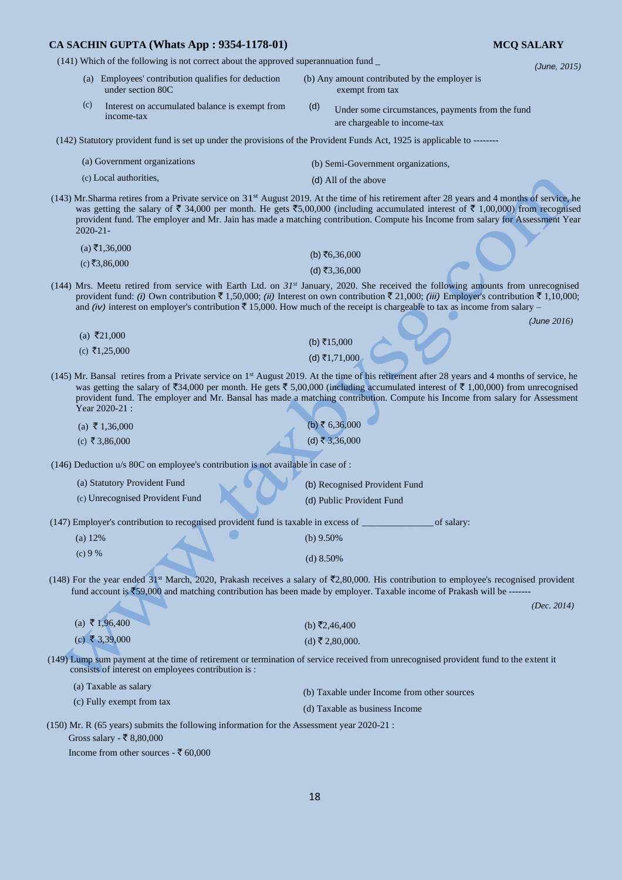(141) Which of the following is not correct about the approved superannuation fund \_ *(June, 2015)* 

- (a) Employees' contribution qualifies for deduction (b) Any amount contributed by the employer is under section 80C
- (c) Interest on accumulated balance is exempt from (d) income-tax
- Under some circumstances, payments from the fund are chargeable to income-tax

exempt from tax

- (142) Statutory provident fund is set up under the provisions of the Provident Funds Act, 1925 is applicable to --------
	- (a) Government organizations (c) Local authorities, (b) Semi-Government organizations, (d) All of the above
- (143) Mr.Sharma retires from a Private service on 31st August 2019. At the time of his retirement after 28 years and 4 months of service, he was getting the salary of  $\bar{\tau}$  34,000 per month. He gets  $\bar{\tau}$ 5,00,000 (including accumulated interest of  $\bar{\tau}$  1,00,000) from recognised provident fund. The employer and Mr. Jain has made a matching contribution. Compute his Income from salary for Assessment Year 2020-21-
	- $(a) \bar{z}$ 1,36,000  $(c)$  ₹3,86,000  $(b)$  ₹6,36,000  $(d)$ ₹3,36,000
- (144) Mrs. Meetu retired from service with Earth Ltd. on *31st* January, 2020. She received the following amounts from unrecognised provident fund: *(i)* Own contribution  $\bar{\tau}$  1,50,000; *(ii)* Interest on own contribution  $\bar{\tau}$  21,000; *(iii)* Employer's contribution  $\bar{\tau}$  1,10,000; and *(iv)* interest on employer's contribution  $\bar{\tau}$  15,000. How much of the receipt is chargeable to tax as income from salary –

*(June 2016)* 

- $(a)$  ₹21,000  $(c)$  ₹1,25,000  $(b) ₹15,000$  $(d)$ ₹1,71,000
- (145) Mr. Bansal retires from a Private service on 1 st August 2019. At the time of his retirement after 28 years and 4 months of service, he was getting the salary of  $\bar{\mathfrak{F}}34,000$  per month. He gets  $\bar{\mathfrak{F}}5,00,000$  (including accumulated interest of  $\bar{\mathfrak{F}}1,00,000$ ) from unrecognised provident fund. The employer and Mr. Bansal has made a matching contribution. Compute his Income from salary for Assessment Year 2020-21 :

| (a) ₹ 1,36,000 | (b) ₹ 6,36,000 |
|----------------|----------------|
| (c) ₹ 3,86,000 | (d) ₹ 3,36,000 |

(146) Deduction u/s 80C on employee's contribution is not available in case of :

| (a) Statutory Provident Fund                                                       | (b) Recognised Provident Fund |
|------------------------------------------------------------------------------------|-------------------------------|
| (c) Unrecognised Provident Fund                                                    | (d) Public Provident Fund     |
| (147) Employer's contribution to recognised provident fund is taxable in excess of | of salary:                    |

(a) 12% (b) 9.50% (c) 9 % (d) 8.50%

(148) For the year ended 31<sup>st</sup> March, 2020, Prakash receives a salary of  $\bar{\mathfrak{T}}2,80,000$ . His contribution to employee's recognised provident fund account is  $\overline{5}59,000$  and matching contribution has been made by employer. Taxable income of Prakash will be ------

*(Dec. 2014)* 

| (a) ₹ 1,96,400 | (b) ₹2,46,400   |
|----------------|-----------------|
| (c) ₹ 3,39,000 | (d) ₹ 2,80,000. |

(149) Lump sum payment at the time of retirement or termination of service received from unrecognised provident fund to the extent it consists of interest on employees contribution is :

(a) Taxable as salary (c) Fully exempt from tax (b) Taxable under Income from other sources (d) Taxable as business Income

(150) Mr. R (65 years) submits the following information for the Assessment year 2020-21 :

Gross salary -  $\overline{\xi}$  8,80,000

Income from other sources - ₹ 60,000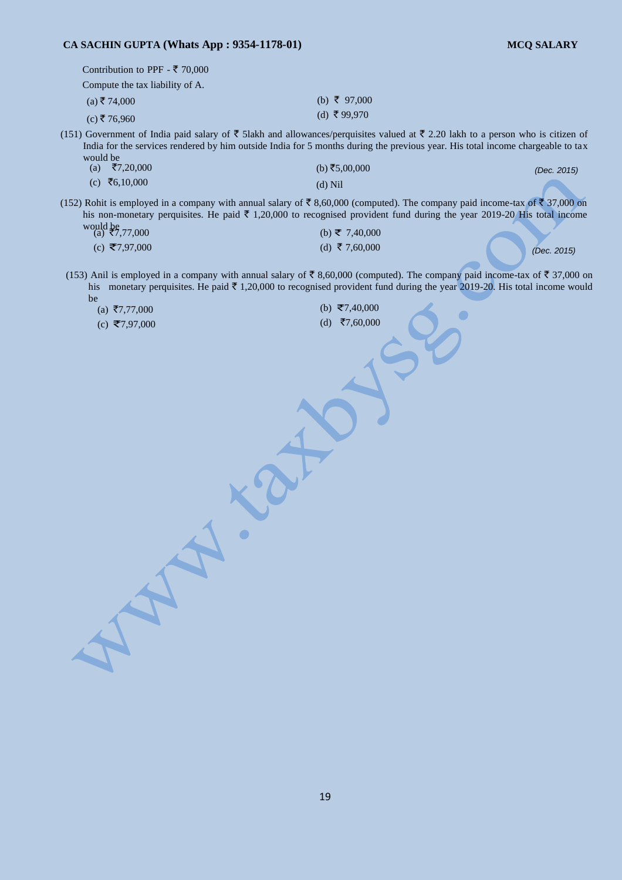| Contribution to PPF - ₹ 70,000  |                                                                                                                                                                                                                                                                   |             |
|---------------------------------|-------------------------------------------------------------------------------------------------------------------------------------------------------------------------------------------------------------------------------------------------------------------|-------------|
| Compute the tax liability of A. |                                                                                                                                                                                                                                                                   |             |
| $(a)$ ₹ 74,000                  | (b) ₹ 97,000                                                                                                                                                                                                                                                      |             |
| (c) ₹76,960                     | (d) ₹99,970                                                                                                                                                                                                                                                       |             |
| would be                        | (151) Government of India paid salary of ₹ 51akh and allowances/perquisites valued at ₹ 2.20 lakh to a person who is citizen of<br>India for the services rendered by him outside India for 5 months during the previous year. His total income chargeable to tax |             |
| ₹7,20,000<br>(a)                | (b) ₹5,00,000                                                                                                                                                                                                                                                     | (Dec. 2015) |
| (c) ₹6,10,000                   | $(d)$ Nil                                                                                                                                                                                                                                                         |             |
|                                 | $(150)$ D this is smallered in a comparison with council action of $\pm$ 0.60,000 (comparison). The comparison with income temporary $0.00$ and                                                                                                                   |             |

(b) ₹ 7,40,000 (152) Rohit is employed in a company with annual salary of  $\bar{\tau}$  8,60,000 (computed). The company paid income-tax of  $\bar{\tau}$  37,000 on his non-monetary perquisites. He paid  $\bar{\tau}$  1,20,000 to recognised provident fund during the year 2019-20 His total income would be

| $\int$ (a) $\bar{z}$ 7,77,000 |  |
|-------------------------------|--|
| (c) ₹7,97,000                 |  |

(d) ₹ 7,60,000  $(0, 5, 7, 97, 000)$  (a)  $(3, 7, 60, 000)$  (bec. 2015)

 $\bullet$ 

(153) Anil is employed in a company with annual salary of  $\bar{\tau}$  8,60,000 (computed). The company paid income-tax of  $\bar{\tau}$  37,000 on his monetary perquisites. He paid  $\bar{\tau}$  1,20,000 to recognised provident fund during the year 2019-20. His total income would be

| (a) ₹7,77,000 |  |
|---------------|--|

 $(c)$  ₹7,97,000

(b) ₹7,40,000  $(d)$  ₹7,60,000